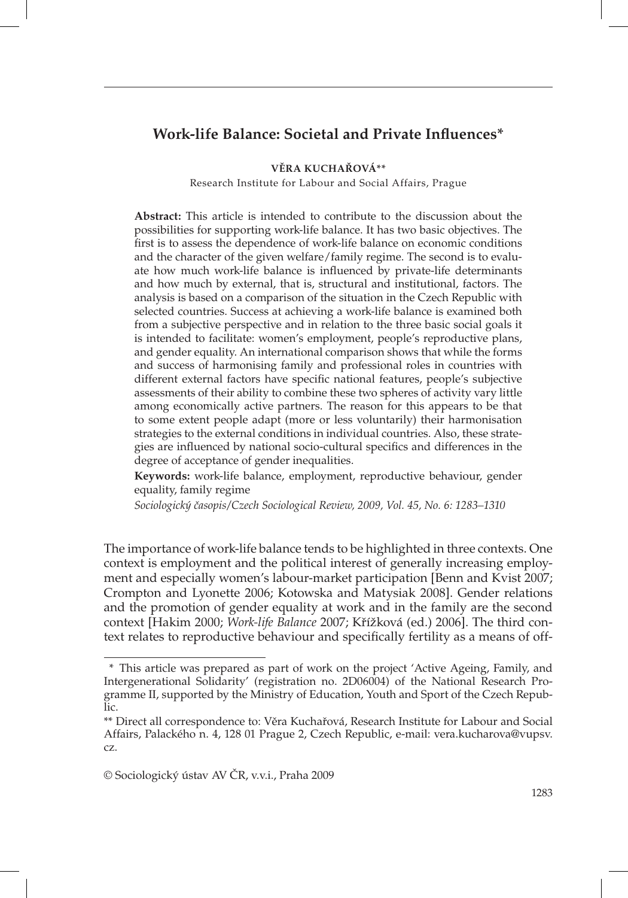# **Work-life Balance: Societal and Private Infl uences\***

**VĚRA KUCHAŘOVÁ\*\***

Research Institute for Labour and Social Affairs, Prague

**Abstract:** This article is intended to contribute to the discussion about the possibilities for supporting work-life balance. It has two basic objectives. The first is to assess the dependence of work-life balance on economic conditions and the character of the given welfare/family regime. The second is to evaluate how much work-life balance is influenced by private-life determinants and how much by external, that is, structural and institutional, factors. The analysis is based on a comparison of the situation in the Czech Republic with selected countries. Success at achieving a work-life balance is examined both from a subjective perspective and in relation to the three basic social goals it is intended to facilitate: women's employment, people's reproductive plans, and gender equality. An international comparison shows that while the forms and success of harmonising family and professional roles in countries with different external factors have specific national features, people's subjective assessments of their ability to combine these two spheres of activity vary little among economically active partners. The reason for this appears to be that to some extent people adapt (more or less voluntarily) their harmonisation strategies to the external conditions in individual countries. Also, these strategies are influenced by national socio-cultural specifics and differences in the degree of acceptance of gender inequalities.

**Keywords:** work-life balance, employment, reproductive behaviour, gender equality, family regime

*Sociologický časopis/Czech Sociological Review, 2009, Vol. 45, No. 6: 1283–1310*

The importance of work-life balance tends to be highlighted in three contexts. One context is employment and the political interest of generally increasing employment and especially women's labour-market participation [Benn and Kvist 2007; Crompton and Lyonette 2006; Kotowska and Matysiak 2008]. Gender relations and the promotion of gender equality at work and in the family are the second context [Hakim 2000; *Work-life Balance* 2007; Křížková (ed.) 2006]. The third context relates to reproductive behaviour and specifically fertility as a means of off-

<sup>\*</sup> This article was prepared as part of work on the project 'Active Ageing, Family, and Intergenerational Solidarity' (registration no. 2D06004) of the National Research Programme II, supported by the Ministry of Education, Youth and Sport of the Czech Republic.

<sup>\*\*</sup> Direct all correspondence to: Věra Kuchařová, Research Institute for Labour and Social Affairs, Palackého n. 4, 128 01 Prague 2, Czech Republic, e-mail: vera.kucharova@vupsv. cz.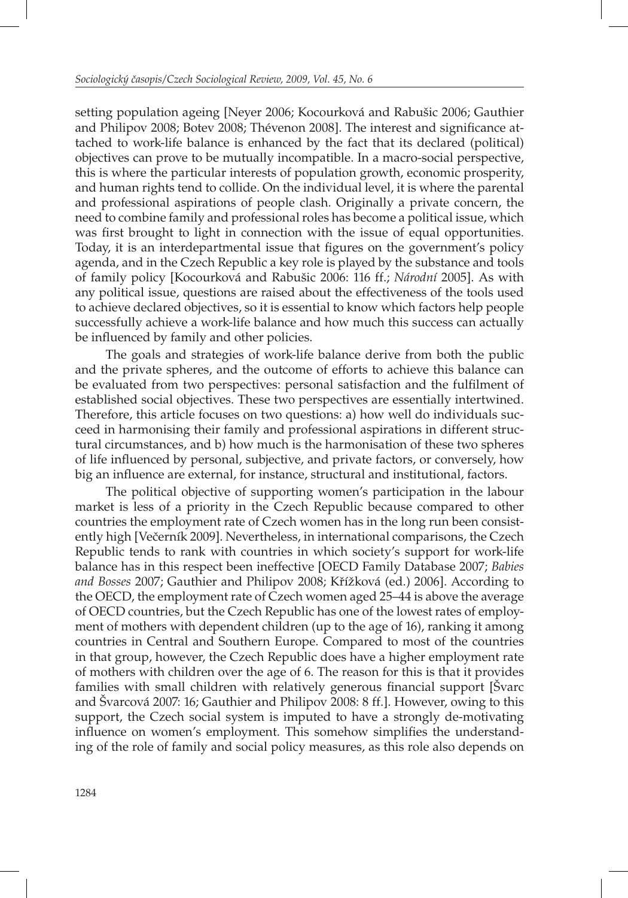setting population ageing [Neyer 2006; Kocourková and Rabušic 2006; Gauthier and Philipov 2008; Botev 2008; Thévenon 2008]. The interest and significance attached to work-life balance is enhanced by the fact that its declared (political) objectives can prove to be mutually incompatible. In a macro-social perspective, this is where the particular interests of population growth, economic prosperity, and human rights tend to collide. On the individual level, it is where the parental and professional aspirations of people clash. Originally a private concern, the need to combine family and professional roles has become a political issue, which was first brought to light in connection with the issue of equal opportunities. Today, it is an interdepartmental issue that figures on the government's policy agenda, and in the Czech Republic a key role is played by the substance and tools of family policy [Kocourková and Rabušic 2006: 116 ff.; *Národní* 2005]. As with any political issue, questions are raised about the effectiveness of the tools used to achieve declared objectives, so it is essential to know which factors help people successfully achieve a work-life balance and how much this success can actually be influenced by family and other policies.

The goals and strategies of work-life balance derive from both the public and the private spheres, and the outcome of efforts to achieve this balance can be evaluated from two perspectives: personal satisfaction and the fulfilment of established social objectives. These two perspectives are essentially intertwined. Therefore, this article focuses on two questions: a) how well do individuals succeed in harmonising their family and professional aspirations in different structural circumstances, and b) how much is the harmonisation of these two spheres of life infl uenced by personal, subjective, and private factors, or conversely, how big an influence are external, for instance, structural and institutional, factors.

The political objective of supporting women's participation in the labour market is less of a priority in the Czech Republic because compared to other countries the employment rate of Czech women has in the long run been consistently high [Večerník 2009]. Nevertheless, in international comparisons, the Czech Republic tends to rank with countries in which society's support for work-life balance has in this respect been ineffective [OECD Family Database 2007; *Babies and Bosses* 2007; Gauthier and Philipov 2008; Křížková (ed.) 2006]. According to the OECD, the employment rate of Czech women aged 25–44 is above the average of OECD countries, but the Czech Republic has one of the lowest rates of employment of mothers with dependent children (up to the age of 16), ranking it among countries in Central and Southern Europe. Compared to most of the countries in that group, however, the Czech Republic does have a higher employment rate of mothers with children over the age of 6. The reason for this is that it provides families with small children with relatively generous financial support [Svarc] and Švarcová 2007: 16; Gauthier and Philipov 2008: 8 ff.]. However, owing to this support, the Czech social system is imputed to have a strongly de-motivating influence on women's employment. This somehow simplifies the understanding of the role of family and social policy measures, as this role also depends on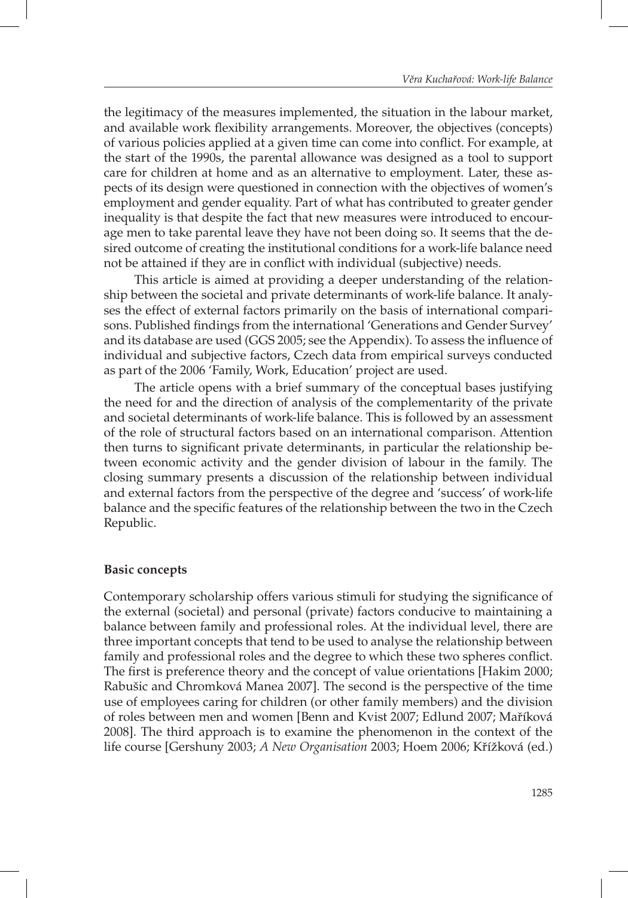the legitimacy of the measures implemented, the situation in the labour market, and available work flexibility arrangements. Moreover, the objectives (concepts) of various policies applied at a given time can come into conflict. For example, at the start of the 1990s, the parental allowance was designed as a tool to support care for children at home and as an alternative to employment. Later, these aspects of its design were questioned in connection with the objectives of women's employment and gender equality. Part of what has contributed to greater gender inequality is that despite the fact that new measures were introduced to encourage men to take parental leave they have not been doing so. It seems that the desired outcome of creating the institutional conditions for a work-life balance need not be attained if they are in conflict with individual (subjective) needs.

This article is aimed at providing a deeper understanding of the relationship between the societal and private determinants of work-life balance. It analyses the effect of external factors primarily on the basis of international comparisons. Published findings from the international 'Generations and Gender Survey' and its database are used (GGS 2005; see the Appendix). To assess the influence of individual and subjective factors, Czech data from empirical surveys conducted as part of the 2006 'Family, Work, Education' project are used.

The article opens with a brief summary of the conceptual bases justifying the need for and the direction of analysis of the complementarity of the private and societal determinants of work-life balance. This is followed by an assessment of the role of structural factors based on an international comparison. Attention then turns to significant private determinants, in particular the relationship between economic activity and the gender division of labour in the family. The closing summary presents a discussion of the relationship between individual and external factors from the perspective of the degree and 'success' of work-life balance and the specific features of the relationship between the two in the Czech Republic.

#### **Basic concepts**

Contemporary scholarship offers various stimuli for studying the significance of the external (societal) and personal (private) factors conducive to maintaining a balance between family and professional roles. At the individual level, there are three important concepts that tend to be used to analyse the relationship between family and professional roles and the degree to which these two spheres conflict. The first is preference theory and the concept of value orientations [Hakim 2000; Rabušic and Chromková Manea 2007]. The second is the perspective of the time use of employees caring for children (or other family members) and the division of roles between men and women [Benn and Kvist 2007; Edlund 2007; Maříková 2008]. The third approach is to examine the phenomenon in the context of the life course [Gershuny 2003; *A New Organisation* 2003; Hoem 2006; Křížková (ed.)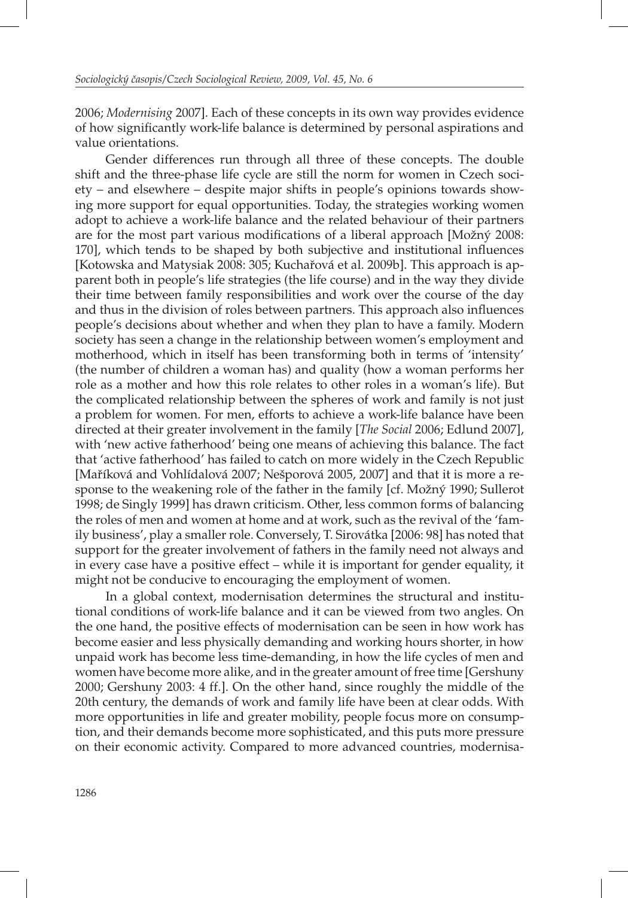2006; *Modernising* 2007]. Each of these concepts in its own way provides evidence of how significantly work-life balance is determined by personal aspirations and value orientations.

Gender differences run through all three of these concepts. The double shift and the three-phase life cycle are still the norm for women in Czech society – and elsewhere – despite major shifts in people's opinions towards showing more support for equal opportunities. Today, the strategies working women adopt to achieve a work-life balance and the related behaviour of their partners are for the most part various modifications of a liberal approach [Možný 2008: 170], which tends to be shaped by both subjective and institutional influences [Kotowska and Matysiak 2008: 305; Kuchařová et al. 2009b]. This approach is apparent both in people's life strategies (the life course) and in the way they divide their time between family responsibilities and work over the course of the day and thus in the division of roles between partners. This approach also influences people's decisions about whether and when they plan to have a family. Modern society has seen a change in the relationship between women's employment and motherhood, which in itself has been transforming both in terms of 'intensity' (the number of children a woman has) and quality (how a woman performs her role as a mother and how this role relates to other roles in a woman's life). But the complicated relationship between the spheres of work and family is not just a problem for women. For men, efforts to achieve a work-life balance have been directed at their greater involvement in the family [*The Social* 2006; Edlund 2007], with 'new active fatherhood' being one means of achieving this balance. The fact that 'active fatherhood' has failed to catch on more widely in the Czech Republic [Maříková and Vohlídalová 2007; Nešporová 2005, 2007] and that it is more a response to the weakening role of the father in the family [cf. Možný 1990; Sullerot 1998; de Singly 1999] has drawn criticism. Other, less common forms of balancing the roles of men and women at home and at work, such as the revival of the 'family business', play a smaller role. Conversely, T. Sirovátka [2006: 98] has noted that support for the greater involvement of fathers in the family need not always and in every case have a positive effect – while it is important for gender equality, it might not be conducive to encouraging the employment of women.

In a global context, modernisation determines the structural and institutional conditions of work-life balance and it can be viewed from two angles. On the one hand, the positive effects of modernisation can be seen in how work has become easier and less physically demanding and working hours shorter, in how unpaid work has become less time-demanding, in how the life cycles of men and women have become more alike, and in the greater amount of free time [Gershuny 2000; Gershuny 2003: 4 ff.]. On the other hand, since roughly the middle of the 20th century, the demands of work and family life have been at clear odds. With more opportunities in life and greater mobility, people focus more on consumption, and their demands become more sophisticated, and this puts more pressure on their economic activity. Compared to more advanced countries, modernisa-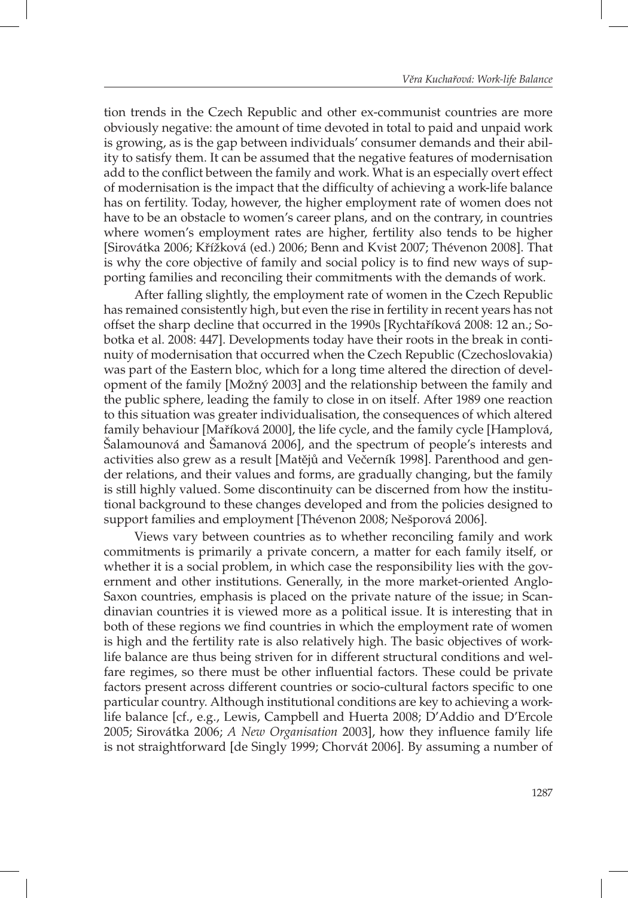tion trends in the Czech Republic and other ex-communist countries are more obviously negative: the amount of time devoted in total to paid and unpaid work is growing, as is the gap between individuals' consumer demands and their ability to satisfy them. It can be assumed that the negative features of modernisation add to the conflict between the family and work. What is an especially overt effect of modernisation is the impact that the difficulty of achieving a work-life balance has on fertility. Today, however, the higher employment rate of women does not have to be an obstacle to women's career plans, and on the contrary, in countries where women's employment rates are higher, fertility also tends to be higher [Sirovátka 2006; Křížková (ed.) 2006; Benn and Kvist 2007; Thévenon 2008]. That is why the core objective of family and social policy is to find new ways of supporting families and reconciling their commitments with the demands of work.

After falling slightly, the employment rate of women in the Czech Republic has remained consistently high, but even the rise in fertility in recent years has not offset the sharp decline that occurred in the 1990s [Rychtaříková 2008: 12 an.; Sobotka et al. 2008: 447]. Developments today have their roots in the break in continuity of modernisation that occurred when the Czech Republic (Czechoslovakia) was part of the Eastern bloc, which for a long time altered the direction of development of the family [Možný 2003] and the relationship between the family and the public sphere, leading the family to close in on itself. After 1989 one reaction to this situation was greater individualisation, the consequences of which altered family behaviour [Maříková 2000], the life cycle, and the family cycle [Hamplová, Šalamounová and Šamanová 2006], and the spectrum of people's interests and activities also grew as a result [Matějů and Večerník 1998]. Parenthood and gender relations, and their values and forms, are gradually changing, but the family is still highly valued. Some discontinuity can be discerned from how the institutional background to these changes developed and from the policies designed to support families and employment [Thévenon 2008; Nešporová 2006].

Views vary between countries as to whether reconciling family and work commitments is primarily a private concern, a matter for each family itself, or whether it is a social problem, in which case the responsibility lies with the government and other institutions. Generally, in the more market-oriented Anglo-Saxon countries, emphasis is placed on the private nature of the issue; in Scandinavian countries it is viewed more as a political issue. It is interesting that in both of these regions we find countries in which the employment rate of women is high and the fertility rate is also relatively high. The basic objectives of worklife balance are thus being striven for in different structural conditions and welfare regimes, so there must be other influential factors. These could be private factors present across different countries or socio-cultural factors specific to one particular country. Although institutional conditions are key to achieving a worklife balance [cf., e.g., Lewis, Campbell and Huerta 2008; D'Addio and D'Ercole 2005; Sirovátka 2006; *A New Organisation* 2003], how they influence family life is not straightforward [de Singly 1999; Chorvát 2006]. By assuming a number of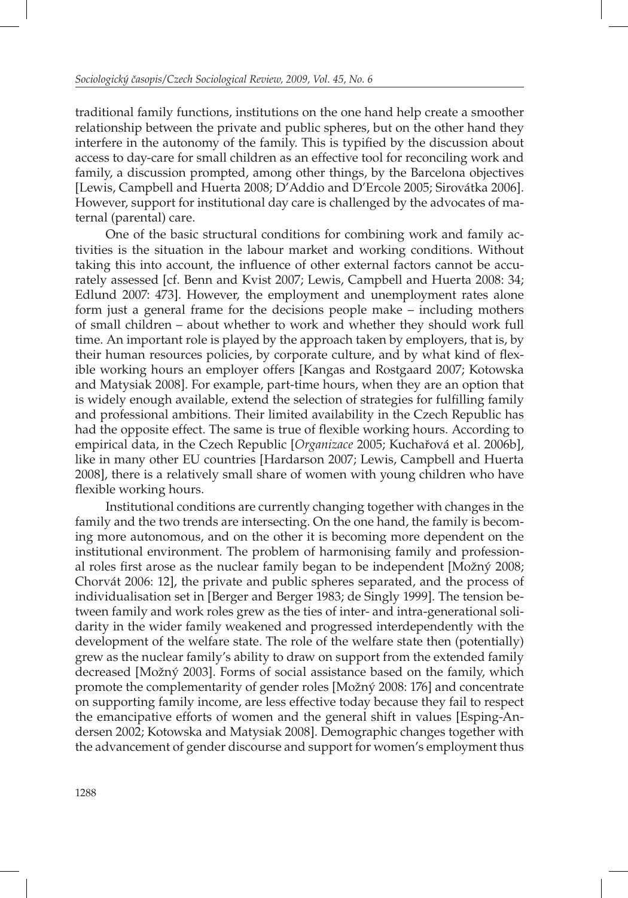traditional family functions, institutions on the one hand help create a smoother relationship between the private and public spheres, but on the other hand they interfere in the autonomy of the family. This is typified by the discussion about access to day-care for small children as an effective tool for reconciling work and family, a discussion prompted, among other things, by the Barcelona objectives [Lewis, Campbell and Huerta 2008; D'Addio and D'Ercole 2005; Sirovátka 2006]. However, support for institutional day care is challenged by the advocates of maternal (parental) care.

One of the basic structural conditions for combining work and family activities is the situation in the labour market and working conditions. Without taking this into account, the influence of other external factors cannot be accurately assessed [cf. Benn and Kvist 2007; Lewis, Campbell and Huerta 2008: 34; Edlund 2007: 473]. However, the employment and unemployment rates alone form just a general frame for the decisions people make – including mothers of small children – about whether to work and whether they should work full time. An important role is played by the approach taken by employers, that is, by their human resources policies, by corporate culture, and by what kind of flexible working hours an employer offers [Kangas and Rostgaard 2007; Kotowska and Matysiak 2008]. For example, part-time hours, when they are an option that is widely enough available, extend the selection of strategies for fulfilling family and professional ambitions. Their limited availability in the Czech Republic has had the opposite effect. The same is true of flexible working hours. According to empirical data, in the Czech Republic [*Organizace* 2005; Kuchařová et al. 2006b], like in many other EU countries [Hardarson 2007; Lewis, Campbell and Huerta 2008], there is a relatively small share of women with young children who have flexible working hours.

Institutional conditions are currently changing together with changes in the family and the two trends are intersecting. On the one hand, the family is becoming more autonomous, and on the other it is becoming more dependent on the institutional environment. The problem of harmonising family and professional roles first arose as the nuclear family began to be independent [Možný 2008; Chorvát 2006: 12], the private and public spheres separated, and the process of individualisation set in [Berger and Berger 1983; de Singly 1999]. The tension between family and work roles grew as the ties of inter- and intra-generational solidarity in the wider family weakened and progressed interdependently with the development of the welfare state. The role of the welfare state then (potentially) grew as the nuclear family's ability to draw on support from the extended family decreased [Možný 2003]. Forms of social assistance based on the family, which promote the complementarity of gender roles [Možný 2008: 176] and concentrate on supporting family income, are less effective today because they fail to respect the emancipative efforts of women and the general shift in values [Esping-Andersen 2002; Kotowska and Matysiak 2008]. Demographic changes together with the advancement of gender discourse and support for women's employment thus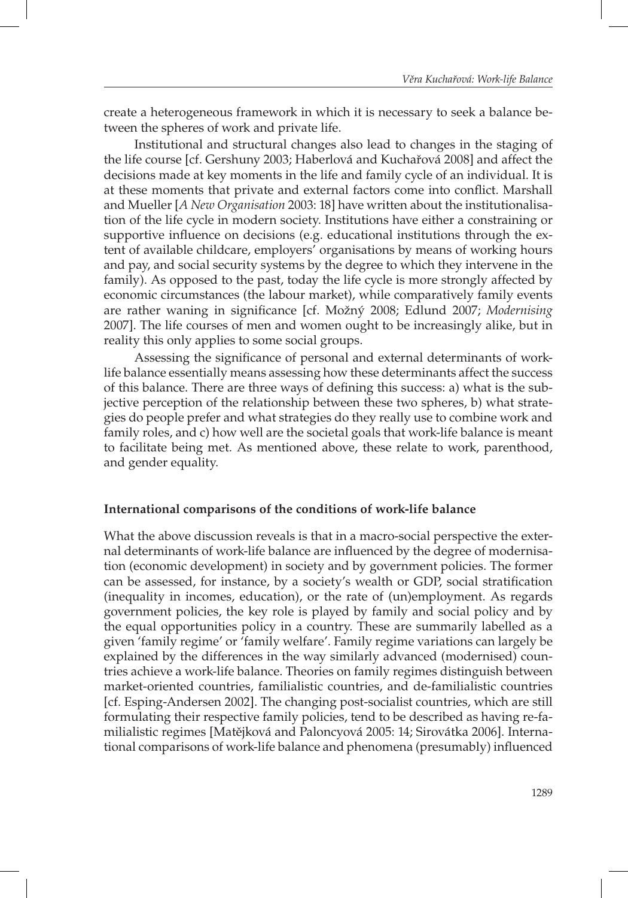create a heterogeneous framework in which it is necessary to seek a balance between the spheres of work and private life.

Institutional and structural changes also lead to changes in the staging of the life course [cf. Gershuny 2003; Haberlová and Kuchařová 2008] and affect the decisions made at key moments in the life and family cycle of an individual. It is at these moments that private and external factors come into conflict. Marshall and Mueller [*A New Organisation* 2003: 18] have written about the institutionalisation of the life cycle in modern society. Institutions have either a constraining or supportive influence on decisions (e.g. educational institutions through the extent of available childcare, employers' organisations by means of working hours and pay, and social security systems by the degree to which they intervene in the family). As opposed to the past, today the life cycle is more strongly affected by economic circumstances (the labour market), while comparatively family events are rather waning in significance [cf. Možný 2008; Edlund 2007; Modernising 2007]. The life courses of men and women ought to be increasingly alike, but in reality this only applies to some social groups.

Assessing the significance of personal and external determinants of worklife balance essentially means assessing how these determinants affect the success of this balance. There are three ways of defining this success: a) what is the subjective perception of the relationship between these two spheres, b) what strategies do people prefer and what strategies do they really use to combine work and family roles, and c) how well are the societal goals that work-life balance is meant to facilitate being met. As mentioned above, these relate to work, parenthood, and gender equality.

## **International comparisons of the conditions of work-life balance**

What the above discussion reveals is that in a macro-social perspective the external determinants of work-life balance are influenced by the degree of modernisation (economic development) in society and by government policies. The former can be assessed, for instance, by a society's wealth or GDP, social stratification (inequality in incomes, education), or the rate of (un)employment. As regards government policies, the key role is played by family and social policy and by the equal opportunities policy in a country. These are summarily labelled as a given 'family regime' or 'family welfare'. Family regime variations can largely be explained by the differences in the way similarly advanced (modernised) countries achieve a work-life balance. Theories on family regimes distinguish between market-oriented countries, familialistic countries, and de-familialistic countries [cf. Esping-Andersen 2002]. The changing post-socialist countries, which are still formulating their respective family policies, tend to be described as having re-familialistic regimes [Matějková and Paloncyová 2005: 14; Sirovátka 2006]. International comparisons of work-life balance and phenomena (presumably) influenced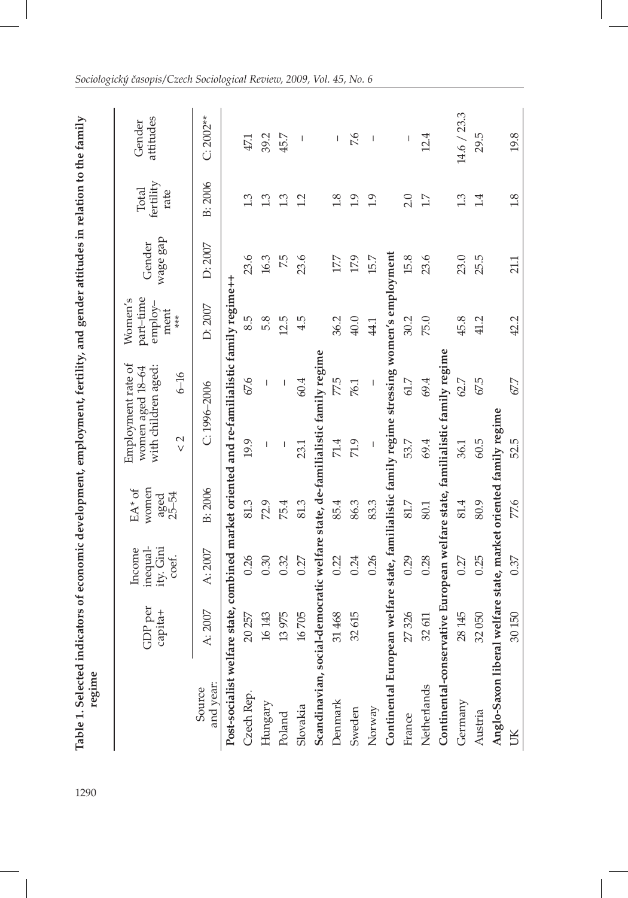| į                                                                                                                                                                                                                                    |        |
|--------------------------------------------------------------------------------------------------------------------------------------------------------------------------------------------------------------------------------------|--------|
|                                                                                                                                                                                                                                      |        |
|                                                                                                                                                                                                                                      |        |
|                                                                                                                                                                                                                                      |        |
|                                                                                                                                                                                                                                      |        |
|                                                                                                                                                                                                                                      |        |
|                                                                                                                                                                                                                                      |        |
|                                                                                                                                                                                                                                      |        |
| :                                                                                                                                                                                                                                    |        |
| $+$ fortility and gondor attitudes in relation to                                                                                                                                                                                    |        |
|                                                                                                                                                                                                                                      |        |
|                                                                                                                                                                                                                                      |        |
| l                                                                                                                                                                                                                                    |        |
| <b>Note that the contract of the contract of the contract of the contract of the contract of the contract of the contract of the contract of the contract of the contract of the contract of the contract of the contract of the</b> |        |
|                                                                                                                                                                                                                                      |        |
|                                                                                                                                                                                                                                      |        |
|                                                                                                                                                                                                                                      |        |
| :<br>:                                                                                                                                                                                                                               |        |
|                                                                                                                                                                                                                                      |        |
|                                                                                                                                                                                                                                      |        |
|                                                                                                                                                                                                                                      |        |
| Sele<br>١                                                                                                                                                                                                                            | regime |
| ÷<br>Table                                                                                                                                                                                                                           |        |
|                                                                                                                                                                                                                                      |        |
|                                                                                                                                                                                                                                      |        |
| 1290                                                                                                                                                                                                                                 |        |

J

| тевшие                                                                                       |                    |                                          |                                              |                      |                                                                           |                                                    |                    |                            |                                |
|----------------------------------------------------------------------------------------------|--------------------|------------------------------------------|----------------------------------------------|----------------------|---------------------------------------------------------------------------|----------------------------------------------------|--------------------|----------------------------|--------------------------------|
|                                                                                              | GDP per<br>capita+ | inequal-<br>Income<br>ity. Gini<br>coef. | women<br>EA <sup>*</sup> of<br>aged<br>25–54 | $\frac{2}{\sqrt{2}}$ | Employment rate of<br>with children aged:<br>women aged 18-64<br>$6 - 16$ | part-time<br>Women's<br>$emplov-$<br>ment<br>$***$ | wage gap<br>Gender | fertility<br>Total<br>rate | attitudes<br>Gender            |
| and year:<br>Source                                                                          | A: 2007            | A: 2007                                  | B: 2006                                      |                      | $C: 1996 - 2006$                                                          | D: 2007                                            | D:2007             | B: 2006                    | $C: 2002**$                    |
| Post-socialist welfare state, combined market oriented and re-familialistic family regime++  |                    |                                          |                                              |                      |                                                                           |                                                    |                    |                            |                                |
| Czech Rep.                                                                                   | 20 257             | 0.26                                     | 81.3                                         | 19.9                 | 67.6                                                                      | 8.5                                                | 23.6               | 1.3                        | 47.1                           |
| Hungary                                                                                      | 16 143             | 0.30                                     | 72.9                                         |                      |                                                                           | 5.8                                                | 16.3               | 1.3                        | 39.2                           |
| Poland                                                                                       | 13975              | 0.32                                     | 75.4                                         | I                    | I                                                                         | 12.5                                               | 7.5                | 1.3                        | 45.7                           |
| Slovakia                                                                                     | 16705              | 0.27                                     | 81.3                                         | 23.1                 | 60.4                                                                      | 4.5                                                | 23.6               | 1.2                        | $\begin{array}{c} \end{array}$ |
| Scandinavian, social-democratic welfare state, de-familialistic family regime                |                    |                                          |                                              |                      |                                                                           |                                                    |                    |                            |                                |
| Denmark                                                                                      | 31 468             | 0.22                                     | 85.4                                         | 71.4                 | 77.5                                                                      | 36.2                                               | 17.7               | 1.8                        | $\overline{1}$                 |
| Sweden                                                                                       | 32 615             | 0.24                                     | 86.3                                         | 71.9                 | 76.1                                                                      | 40.0                                               | 17.9               | 1.9                        | 7.6                            |
| Norway                                                                                       |                    | 0.26                                     | 83.3                                         |                      | I                                                                         | 44.1                                               | 15.7               | 1.9                        | $\overline{\phantom{a}}$       |
| Continental European welfare state, familialistic family regime stressing women's employment |                    |                                          |                                              |                      |                                                                           |                                                    |                    |                            |                                |
| France                                                                                       | 27326              | 0.29                                     | 81.7                                         | 53.7                 | 61.7                                                                      | 30.2                                               | 15.8               | 2.0                        | $\begin{array}{c} \end{array}$ |
| Netherlands                                                                                  | 32611              | 0.28                                     | 80.1                                         | 69.4                 | 69.4                                                                      | 75.0                                               | 23.6               | 1.7                        | 12.4                           |
| Continental-conservative European welfare state, familialistic family regime                 |                    |                                          |                                              |                      |                                                                           |                                                    |                    |                            |                                |
| Germany                                                                                      | 28 145             | 0.27                                     | 81.4                                         | 36.1                 | 62.7                                                                      | 45.8                                               | 23.0               | 1.3                        | 14.6 / 23.3                    |
| Austria                                                                                      | 32050              | 0.25                                     | 80.9                                         | 60.5                 | 67.5                                                                      | 41.2                                               | 25.5               | 1.4                        | 29.5                           |
| Anglo-Saxon liberal welfare state, market oriented family regime                             |                    |                                          |                                              |                      |                                                                           |                                                    |                    |                            |                                |
| ŬК                                                                                           | 30150              | 0.37                                     | 77.6                                         | 52.5                 | 67.7                                                                      | 42.2                                               | 21.1               | 1.8                        | 19.8                           |
|                                                                                              |                    |                                          |                                              |                      |                                                                           |                                                    |                    |                            |                                |

I

*Sociologický časopis/Czech Sociological Review, 2009, Vol. 45, No. 6*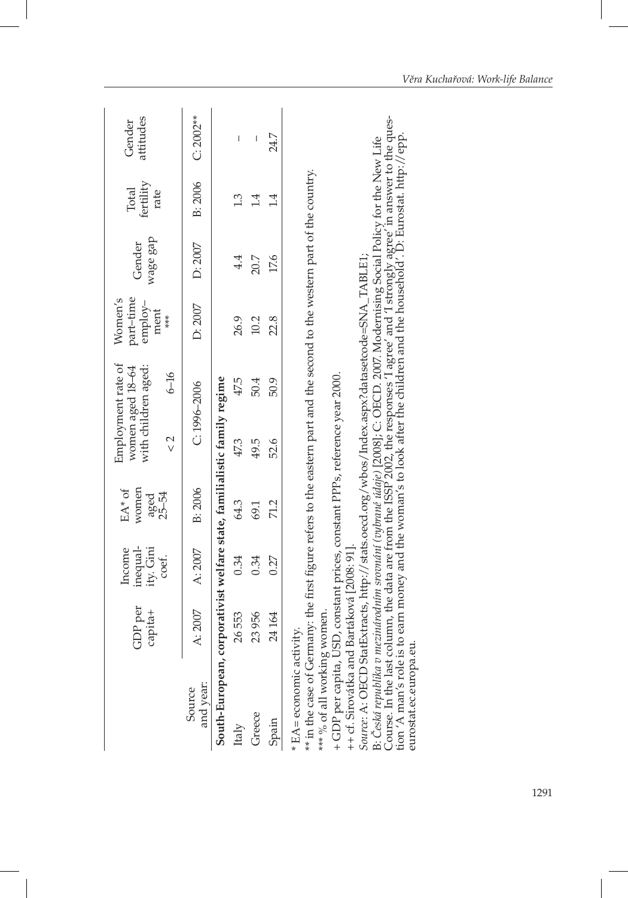|                                                                                                                                                                                                                                                                                                                                                                                                                                                                                                                                                                                                                                                                                          | GDP per<br>capita+ | inequal-<br>ity. Gini<br>Income<br>coef. | women<br>EA <sup>*</sup> of<br>aged<br>25–54 | Employment rate of<br>with children aged:<br>women aged 18-64 |          | part-time<br>Women's<br>employ-<br>ment | wage gap<br>Gender | fertility<br>Total<br>rate | attitudes<br>Gender |
|------------------------------------------------------------------------------------------------------------------------------------------------------------------------------------------------------------------------------------------------------------------------------------------------------------------------------------------------------------------------------------------------------------------------------------------------------------------------------------------------------------------------------------------------------------------------------------------------------------------------------------------------------------------------------------------|--------------------|------------------------------------------|----------------------------------------------|---------------------------------------------------------------|----------|-----------------------------------------|--------------------|----------------------------|---------------------|
|                                                                                                                                                                                                                                                                                                                                                                                                                                                                                                                                                                                                                                                                                          |                    |                                          |                                              | 2<br>>                                                        | $6 - 16$ | $***$                                   |                    |                            |                     |
| and year:<br>Source                                                                                                                                                                                                                                                                                                                                                                                                                                                                                                                                                                                                                                                                      | A: 2007            | A: 2007                                  | B: 2006                                      | $C: 1996 - 2006$                                              |          | D: 2007                                 | D:2007             | B: 2006                    | $C: 2002**$         |
| South-European, corporativist welfare state, familialistic family regime                                                                                                                                                                                                                                                                                                                                                                                                                                                                                                                                                                                                                 |                    |                                          |                                              |                                                               |          |                                         |                    |                            |                     |
| Italy                                                                                                                                                                                                                                                                                                                                                                                                                                                                                                                                                                                                                                                                                    | 26553              | 0.34                                     | 64.3                                         | 47.3                                                          | 47.5     | 26.9                                    | 4.4                | 1.3                        | I                   |
| Greece                                                                                                                                                                                                                                                                                                                                                                                                                                                                                                                                                                                                                                                                                   | 23956              | 0.34                                     | 69.1                                         | 49.5                                                          | 50.4     | 10.2                                    | 20.7               | 1.4                        | I                   |
| Spain                                                                                                                                                                                                                                                                                                                                                                                                                                                                                                                                                                                                                                                                                    | 24 164             | 0.27                                     | 71.2                                         | 52.6                                                          | 50.9     | 22.8                                    | 17.6               | 1.4                        | 24.7                |
| B: Česká republika v mezinávodním svovnání (vybrané údaje) [2008]; C: OECD. 2007. Modernising Social Policy for the New Life<br>Course. In the last column, the data are from the ISSF 2002, the responses 'I agree' and 'I stron<br>** in the case of Germany: the first figure refers to the eastern part and the second to the western part of the country.<br>+ GDP per capita, USD, constant prices, constant PPPs, reference year 2000.<br>++ cf. Sirovátka and Bartáková [2008: 91].<br>S <i>ource: A</i> : OECD StatExtracts, http://stats.oecd.org/wbos/Index.aspx?datasetcode=SNA_TABLE1;<br>*** % of all working women.<br>* EA= economic activity.<br>eurostat.ec.europa.eu. |                    |                                          |                                              |                                                               |          |                                         |                    |                            |                     |

I

I

I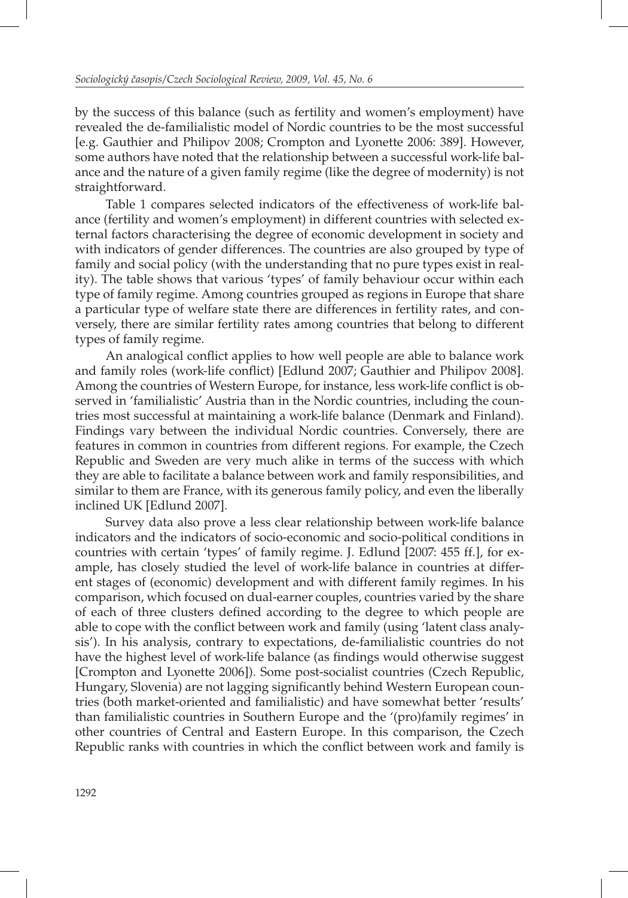by the success of this balance (such as fertility and women's employment) have revealed the de-familialistic model of Nordic countries to be the most successful [e.g. Gauthier and Philipov 2008; Crompton and Lyonette 2006: 389]. However, some authors have noted that the relationship between a successful work-life balance and the nature of a given family regime (like the degree of modernity) is not straightforward.

Table 1 compares selected indicators of the effectiveness of work-life balance (fertility and women's employment) in different countries with selected external factors characterising the degree of economic development in society and with indicators of gender differences. The countries are also grouped by type of family and social policy (with the understanding that no pure types exist in reality). The table shows that various 'types' of family behaviour occur within each type of family regime. Among countries grouped as regions in Europe that share a particular type of welfare state there are differences in fertility rates, and conversely, there are similar fertility rates among countries that belong to different types of family regime.

An analogical conflict applies to how well people are able to balance work and family roles (work-life conflict) [Edlund 2007; Gauthier and Philipov 2008]. Among the countries of Western Europe, for instance, less work-life conflict is observed in 'familialistic' Austria than in the Nordic countries, including the countries most successful at maintaining a work-life balance (Denmark and Finland). Findings vary between the individual Nordic countries. Conversely, there are features in common in countries from different regions. For example, the Czech Republic and Sweden are very much alike in terms of the success with which they are able to facilitate a balance between work and family responsibilities, and similar to them are France, with its generous family policy, and even the liberally inclined UK [Edlund 2007].

Survey data also prove a less clear relationship between work-life balance indicators and the indicators of socio-economic and socio-political conditions in countries with certain 'types' of family regime. J. Edlund [2007: 455 ff.], for example, has closely studied the level of work-life balance in countries at different stages of (economic) development and with different family regimes. In his comparison, which focused on dual-earner couples, countries varied by the share of each of three clusters defined according to the degree to which people are able to cope with the conflict between work and family (using 'latent class analysis'). In his analysis, contrary to expectations, de-familialistic countries do not have the highest level of work-life balance (as findings would otherwise suggest [Crompton and Lyonette 2006]). Some post-socialist countries (Czech Republic, Hungary, Slovenia) are not lagging significantly behind Western European countries (both market-oriented and familialistic) and have somewhat better 'results' than familialistic countries in Southern Europe and the '(pro)family regimes' in other countries of Central and Eastern Europe. In this comparison, the Czech Republic ranks with countries in which the conflict between work and family is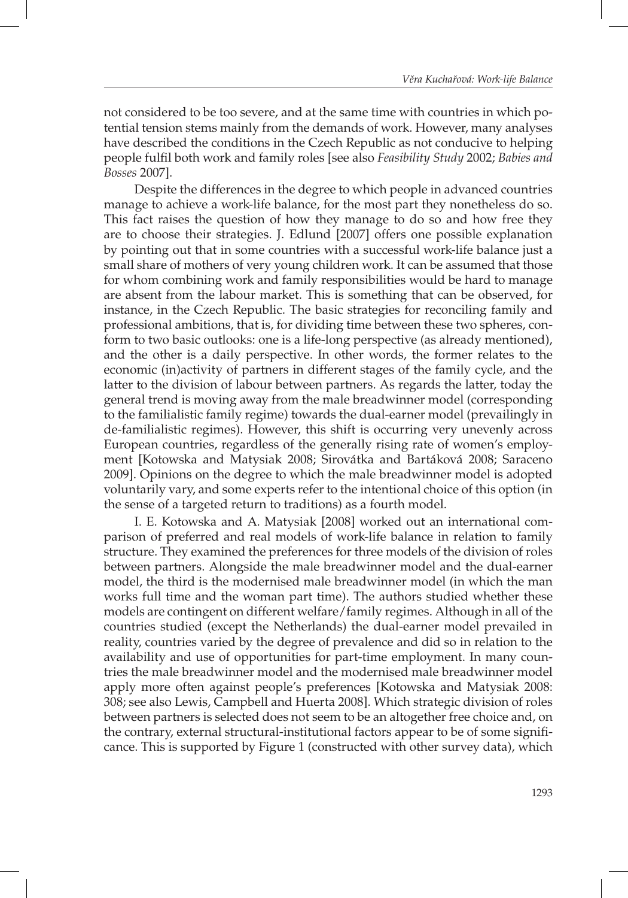not considered to be too severe, and at the same time with countries in which potential tension stems mainly from the demands of work. However, many analyses have described the conditions in the Czech Republic as not conducive to helping people fulfi l both work and family roles [see also *Feasibility Study* 2002; *Babies and Bosses* 2007].

Despite the differences in the degree to which people in advanced countries manage to achieve a work-life balance, for the most part they nonetheless do so. This fact raises the question of how they manage to do so and how free they are to choose their strategies. J. Edlund [2007] offers one possible explanation by pointing out that in some countries with a successful work-life balance just a small share of mothers of very young children work. It can be assumed that those for whom combining work and family responsibilities would be hard to manage are absent from the labour market. This is something that can be observed, for instance, in the Czech Republic. The basic strategies for reconciling family and professional ambitions, that is, for dividing time between these two spheres, conform to two basic outlooks: one is a life-long perspective (as already mentioned), and the other is a daily perspective. In other words, the former relates to the economic (in)activity of partners in different stages of the family cycle, and the latter to the division of labour between partners. As regards the latter, today the general trend is moving away from the male breadwinner model (corresponding to the familialistic family regime) towards the dual-earner model (prevailingly in de-familialistic regimes). However, this shift is occurring very unevenly across European countries, regardless of the generally rising rate of women's employment [Kotowska and Matysiak 2008; Sirovátka and Bartáková 2008; Saraceno 2009]. Opinions on the degree to which the male breadwinner model is adopted voluntarily vary, and some experts refer to the intentional choice of this option (in the sense of a targeted return to traditions) as a fourth model.

I. E. Kotowska and A. Matysiak [2008] worked out an international comparison of preferred and real models of work-life balance in relation to family structure. They examined the preferences for three models of the division of roles between partners. Alongside the male breadwinner model and the dual-earner model, the third is the modernised male breadwinner model (in which the man works full time and the woman part time). The authors studied whether these models are contingent on different welfare/family regimes. Although in all of the countries studied (except the Netherlands) the dual-earner model prevailed in reality, countries varied by the degree of prevalence and did so in relation to the availability and use of opportunities for part-time employment. In many countries the male breadwinner model and the modernised male breadwinner model apply more often against people's preferences [Kotowska and Matysiak 2008: 308; see also Lewis, Campbell and Huerta 2008]. Which strategic division of roles between partners is selected does not seem to be an altogether free choice and, on the contrary, external structural-institutional factors appear to be of some significance. This is supported by Figure 1 (constructed with other survey data), which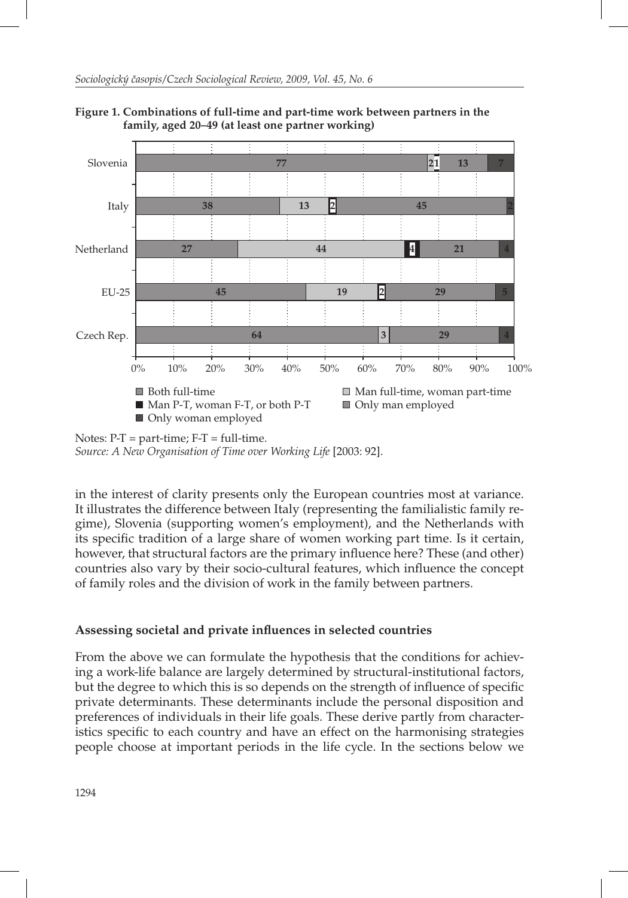

**Figure 1. Combinations of full-time and part-time work between partners in the family, aged 20–49 (at least one partner working)** 

in the interest of clarity presents only the European countries most at variance. It illustrates the difference between Italy (representing the familialistic family regime), Slovenia (supporting women's employment), and the Netherlands with its specific tradition of a large share of women working part time. Is it certain, however, that structural factors are the primary influence here? These (and other) countries also vary by their socio-cultural features, which influence the concept of family roles and the division of work in the family between partners.

# **Assessing societal and private infl uences in selected countries**

From the above we can formulate the hypothesis that the conditions for achieving a work-life balance are largely determined by structural-institutional factors, but the degree to which this is so depends on the strength of influence of specific private determinants. These determinants include the personal disposition and preferences of individuals in their life goals. These derive partly from characteristics specific to each country and have an effect on the harmonising strategies people choose at important periods in the life cycle. In the sections below we

Notes:  $P-T = part-time$ ;  $F-T = full-time$ . *Source: A New Organisation of Time over Working Life* [2003: 92].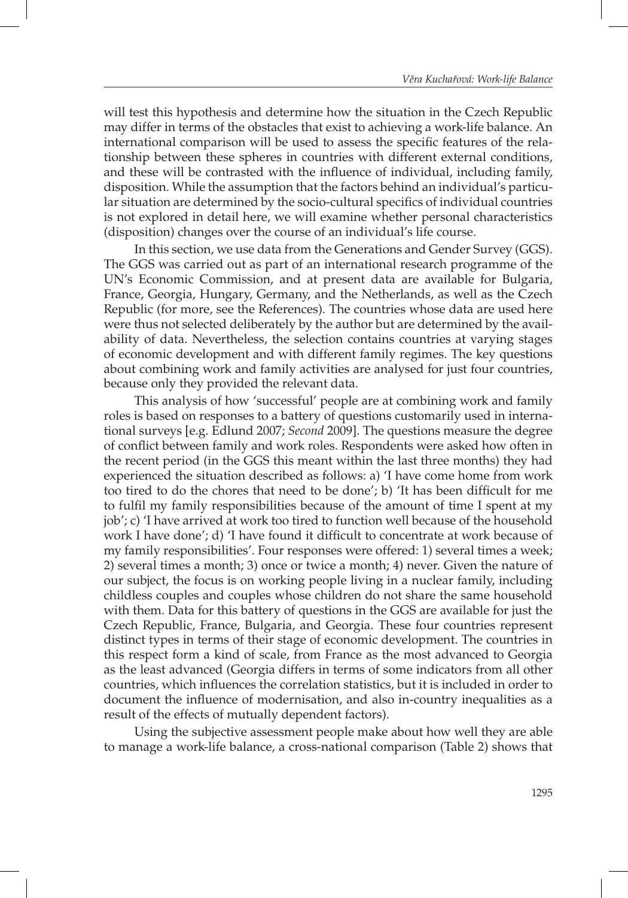will test this hypothesis and determine how the situation in the Czech Republic may differ in terms of the obstacles that exist to achieving a work-life balance. An international comparison will be used to assess the specific features of the relationship between these spheres in countries with different external conditions, and these will be contrasted with the influence of individual, including family, disposition. While the assumption that the factors behind an individual's particular situation are determined by the socio-cultural specifics of individual countries is not explored in detail here, we will examine whether personal characteristics (disposition) changes over the course of an individual's life course.

In this section, we use data from the Generations and Gender Survey (GGS). The GGS was carried out as part of an international research programme of the UN's Economic Commission, and at present data are available for Bulgaria, France, Georgia, Hungary, Germany, and the Netherlands, as well as the Czech Republic (for more, see the References). The countries whose data are used here were thus not selected deliberately by the author but are determined by the availability of data. Nevertheless, the selection contains countries at varying stages of economic development and with different family regimes. The key questions about combining work and family activities are analysed for just four countries, because only they provided the relevant data.

This analysis of how 'successful' people are at combining work and family roles is based on responses to a battery of questions customarily used in international surveys [e.g. Edlund 2007; *Second* 2009]. The questions measure the degree of conflict between family and work roles. Respondents were asked how often in the recent period (in the GGS this meant within the last three months) they had experienced the situation described as follows: a) 'I have come home from work too tired to do the chores that need to be done'; b) 'It has been difficult for me to fulfil my family responsibilities because of the amount of time I spent at my job'; c) 'I have arrived at work too tired to function well because of the household work I have done'; d) 'I have found it difficult to concentrate at work because of my family responsibilities'. Four responses were offered: 1) several times a week; 2) several times a month; 3) once or twice a month; 4) never. Given the nature of our subject, the focus is on working people living in a nuclear family, including childless couples and couples whose children do not share the same household with them. Data for this battery of questions in the GGS are available for just the Czech Republic, France, Bulgaria, and Georgia. These four countries represent distinct types in terms of their stage of economic development. The countries in this respect form a kind of scale, from France as the most advanced to Georgia as the least advanced (Georgia differs in terms of some indicators from all other countries, which influences the correlation statistics, but it is included in order to document the influence of modernisation, and also in-country inequalities as a result of the effects of mutually dependent factors).

Using the subjective assessment people make about how well they are able to manage a work-life balance, a cross-national comparison (Table 2) shows that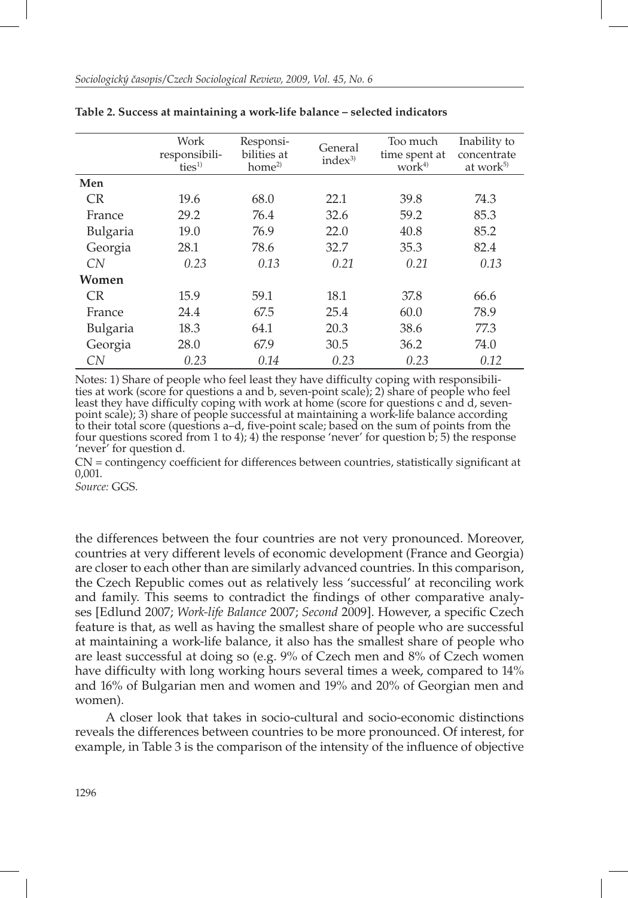|           | Work<br>responsibili-<br>ties <sup>1</sup> | Responsi-<br>bilities at<br>home <sup>2</sup> | General<br>index <sup>3</sup> | Too much<br>time spent at<br>work <sup>4)</sup> | Inability to<br>concentrate<br>at work <sup>5)</sup> |
|-----------|--------------------------------------------|-----------------------------------------------|-------------------------------|-------------------------------------------------|------------------------------------------------------|
| Men       |                                            |                                               |                               |                                                 |                                                      |
| <b>CR</b> | 19.6                                       | 68.0                                          | 22.1                          | 39.8                                            | 74.3                                                 |
| France    | 29.2                                       | 76.4                                          | 32.6                          | 59.2                                            | 85.3                                                 |
| Bulgaria  | 19.0                                       | 76.9                                          | 22.0                          | 40.8                                            | 85.2                                                 |
| Georgia   | 28.1                                       | 78.6                                          | 32.7                          | 35.3                                            | 82.4                                                 |
| CN        | 0.23                                       | 0.13                                          | 0.21                          | 0.21                                            | 0.13                                                 |
| Women     |                                            |                                               |                               |                                                 |                                                      |
| CR.       | 15.9                                       | 59.1                                          | 18.1                          | 37.8                                            | 66.6                                                 |
| France    | 24.4                                       | 67.5                                          | 25.4                          | 60.0                                            | 78.9                                                 |
| Bulgaria  | 18.3                                       | 64.1                                          | 20.3                          | 38.6                                            | 77.3                                                 |
| Georgia   | 28.0                                       | 67.9                                          | 30.5                          | 36.2                                            | 74.0                                                 |
| CN        | 0.23                                       | 0.14                                          | 0.23                          | 0.23                                            | 0.12                                                 |

|  |  |  | Table 2. Success at maintaining a work-life balance – selected indicators |  |  |  |  |  |  |
|--|--|--|---------------------------------------------------------------------------|--|--|--|--|--|--|
|--|--|--|---------------------------------------------------------------------------|--|--|--|--|--|--|

Notes: 1) Share of people who feel least they have difficulty coping with responsibilities at work (score for questions a and b, seven-point scale); 2) share of people who feel least they have difficulty coping with work at home (score for questions c and d, sevenpoint scale); 3) share of people successful at maintaining a work-life balance according to their total score (questions a-d, five-point scale; based on the sum of points from the four questions scored from 1 to 4); 4) the response 'never' for question b; 5) the response 'never' for question d.

 $CN =$  contingency coefficient for differences between countries, statistically significant at 0,001.

*Source:* GGS.

the differences between the four countries are not very pronounced. Moreover, countries at very different levels of economic development (France and Georgia) are closer to each other than are similarly advanced countries. In this comparison, the Czech Republic comes out as relatively less 'successful' at reconciling work and family. This seems to contradict the findings of other comparative analyses [Edlund 2007; *Work-life Balance* 2007; *Second* 2009]. However, a specific Czech feature is that, as well as having the smallest share of people who are successful at maintaining a work-life balance, it also has the smallest share of people who are least successful at doing so (e.g. 9% of Czech men and 8% of Czech women have difficulty with long working hours several times a week, compared to 14% and 16% of Bulgarian men and women and 19% and 20% of Georgian men and women).

A closer look that takes in socio-cultural and socio-economic distinctions reveals the differences between countries to be more pronounced. Of interest, for example, in Table 3 is the comparison of the intensity of the influence of objective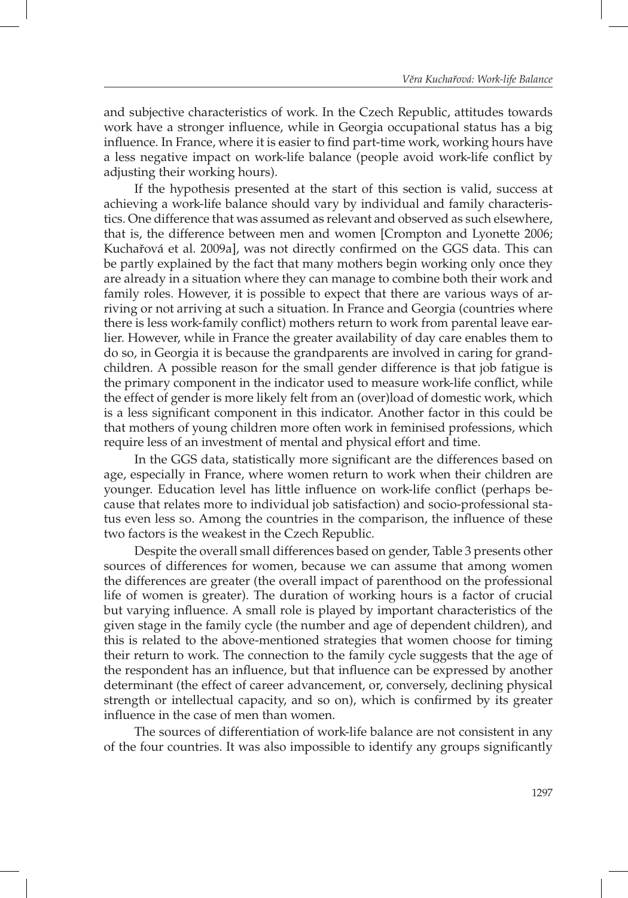and subjective characteristics of work. In the Czech Republic, attitudes towards work have a stronger influence, while in Georgia occupational status has a big influence. In France, where it is easier to find part-time work, working hours have a less negative impact on work-life balance (people avoid work-life conflict by adjusting their working hours).

If the hypothesis presented at the start of this section is valid, success at achieving a work-life balance should vary by individual and family characteristics. One difference that was assumed as relevant and observed as such elsewhere, that is, the difference between men and women [Crompton and Lyonette 2006; Kuchařová et al. 2009a], was not directly confirmed on the GGS data. This can be partly explained by the fact that many mothers begin working only once they are already in a situation where they can manage to combine both their work and family roles. However, it is possible to expect that there are various ways of arriving or not arriving at such a situation. In France and Georgia (countries where there is less work-family conflict) mothers return to work from parental leave earlier. However, while in France the greater availability of day care enables them to do so, in Georgia it is because the grandparents are involved in caring for grandchildren. A possible reason for the small gender difference is that job fatigue is the primary component in the indicator used to measure work-life conflict, while the effect of gender is more likely felt from an (over)load of domestic work, which is a less significant component in this indicator. Another factor in this could be that mothers of young children more often work in feminised professions, which require less of an investment of mental and physical effort and time.

In the GGS data, statistically more significant are the differences based on age, especially in France, where women return to work when their children are younger. Education level has little influence on work-life conflict (perhaps because that relates more to individual job satisfaction) and socio-professional status even less so. Among the countries in the comparison, the influence of these two factors is the weakest in the Czech Republic.

Despite the overall small differences based on gender, Table 3 presents other sources of differences for women, because we can assume that among women the differences are greater (the overall impact of parenthood on the professional life of women is greater). The duration of working hours is a factor of crucial but varying influence. A small role is played by important characteristics of the given stage in the family cycle (the number and age of dependent children), and this is related to the above-mentioned strategies that women choose for timing their return to work. The connection to the family cycle suggests that the age of the respondent has an influence, but that influence can be expressed by another determinant (the effect of career advancement, or, conversely, declining physical strength or intellectual capacity, and so on), which is confirmed by its greater influence in the case of men than women.

The sources of differentiation of work-life balance are not consistent in any of the four countries. It was also impossible to identify any groups significantly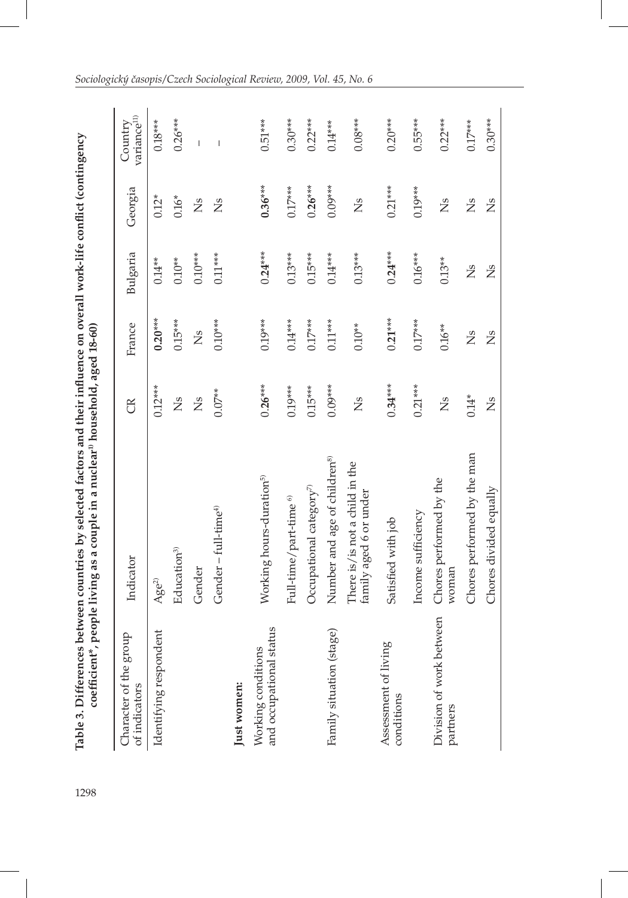J

| Character of the group<br>of indicators       | Indicator                                                | g         | France         | Bulgaria       | Georgia       | variance <sup>11)</sup><br>Country |
|-----------------------------------------------|----------------------------------------------------------|-----------|----------------|----------------|---------------|------------------------------------|
| Identifying respondent                        | Age <sup>2</sup>                                         | $0.12***$ | $0.20***$      | $0.14**$       | $0.12*$       | $0.18***$                          |
|                                               | Education <sup>3</sup>                                   | Σs        | $0.15***$      | $0.10**$       | $0.16*$       | $0.26***$                          |
|                                               | Gender                                                   | Ž         | Σă             | $0.10***$      | Σă            | Ï                                  |
|                                               | Gender – full-time $4$                                   | $0.07**$  | $0.10***$      | $0.11***$      | Σă            | Ï                                  |
| Just women:                                   |                                                          |           |                |                |               |                                    |
| and occupational status<br>Working conditions | Working hours-duration <sup>5)</sup>                     | $0.26***$ | $0.19***$      | $0.24***$      | $0.36***$     | $0.51***$                          |
|                                               | Full-time/part-time <sup>6)</sup>                        | $0.19***$ | $0.14***$      | $0.13***$      | $0.17***$     | $0.30***$                          |
|                                               | Occupational category <sup>7)</sup>                      | $0.15***$ | $0.17***$      | $0.15***$      | $0.26***$     | $0.22***$                          |
| Family situation (stage)                      | Number and age of children <sup>8)</sup>                 | $0.09***$ | $0.11***$      | $0.14***$      | $0.09***$     | $0.14***$                          |
|                                               | There is/is not a child in the<br>family aged 6 or under | Σă        | $0.10**$       | $0.13***$      | Σă            | $0.08***$                          |
| Assessment of living<br>conditions            | Satisfied with job                                       | $0.34***$ | $0.21***$      | $0.24***$      | $0.21***$     | $0.20***$                          |
|                                               | Income sufficiency                                       | $0.21***$ | $0.17***$      | $0.16***$      | $0.19***$     | $0.55***$                          |
| Division of work between<br>partners          | Chores performed by the<br>woman                         | Ž         | $0.16**$       | $0.13**$       | Ž             | $0.22***$                          |
|                                               | Chores performed by the man                              | $0.14*$   | $\mathbb{Z}^s$ | $\mathbb{Z}^s$ | <b>Ns</b>     | $0.17***$                          |
|                                               | Chores divided equally                                   | Σă        | ž              | Σă             | $\frac{1}{2}$ | $0.30***$                          |

I

## *Sociologický časopis/Czech Sociological Review, 2009, Vol. 45, No. 6*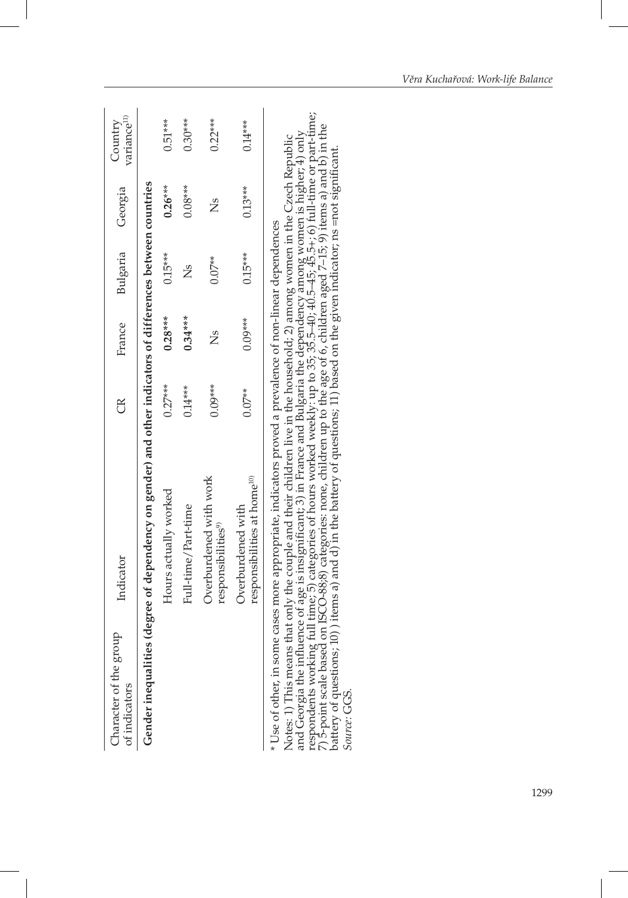| Character of the group<br>of indicators | Indicator                                                                                                                                                                                                                                                                                                                                                                                                                                                                                                                                                                                                                                                                                                                                       | g         | France    | Bulgaria  | Georgia   | variance <sup>11</sup><br>Country |
|-----------------------------------------|-------------------------------------------------------------------------------------------------------------------------------------------------------------------------------------------------------------------------------------------------------------------------------------------------------------------------------------------------------------------------------------------------------------------------------------------------------------------------------------------------------------------------------------------------------------------------------------------------------------------------------------------------------------------------------------------------------------------------------------------------|-----------|-----------|-----------|-----------|-----------------------------------|
|                                         | Gender inequalities (degree of dependency on gender) and other indicators of differences between countries                                                                                                                                                                                                                                                                                                                                                                                                                                                                                                                                                                                                                                      |           |           |           |           |                                   |
|                                         | Hours actually worked                                                                                                                                                                                                                                                                                                                                                                                                                                                                                                                                                                                                                                                                                                                           | $0.27***$ | $0.28***$ | $0.15***$ | $0.26***$ | $0.51***$                         |
|                                         | Full-time/Part-time                                                                                                                                                                                                                                                                                                                                                                                                                                                                                                                                                                                                                                                                                                                             | $0.14***$ | $0.34***$ | ž         | $0.08***$ | $0.30***$                         |
|                                         | Overburdened with work<br>responsibilities <sup>9)</sup>                                                                                                                                                                                                                                                                                                                                                                                                                                                                                                                                                                                                                                                                                        | $0.09***$ | Ž         | $0.07**$  | Ž         | $0.22***$                         |
|                                         | responsibilities at home <sup>10</sup><br>Overburdened with                                                                                                                                                                                                                                                                                                                                                                                                                                                                                                                                                                                                                                                                                     | $0.07**$  | $0.09***$ | $0.15***$ | $0.13***$ | $0.14***$                         |
| Source: GGS.                            | and Georgia the influence of age is insignificant; 3) in France and Bulgaria the dependency among women is higher; 4) only<br>respondents working full time; 5) categories of hours worked weekly: up to 35; 35.5–40; 40.5–45; 45<br>7) 5-point scale based on ISCO-88;8) categories: none, children up to the age of 6, children aged 7-15; 9) items a) and b) in the<br>Notes: 1) This means that only the couple and their children live in the household; 2) among women in the Czech Republic<br>battery of questions; 10) items a) and d) in the battery of questions; 11) based on the given indicator; ns =not significant.<br>* Use of other, in some cases more appropriate, indicators proved a prevalence of non-linear dependences |           |           |           |           |                                   |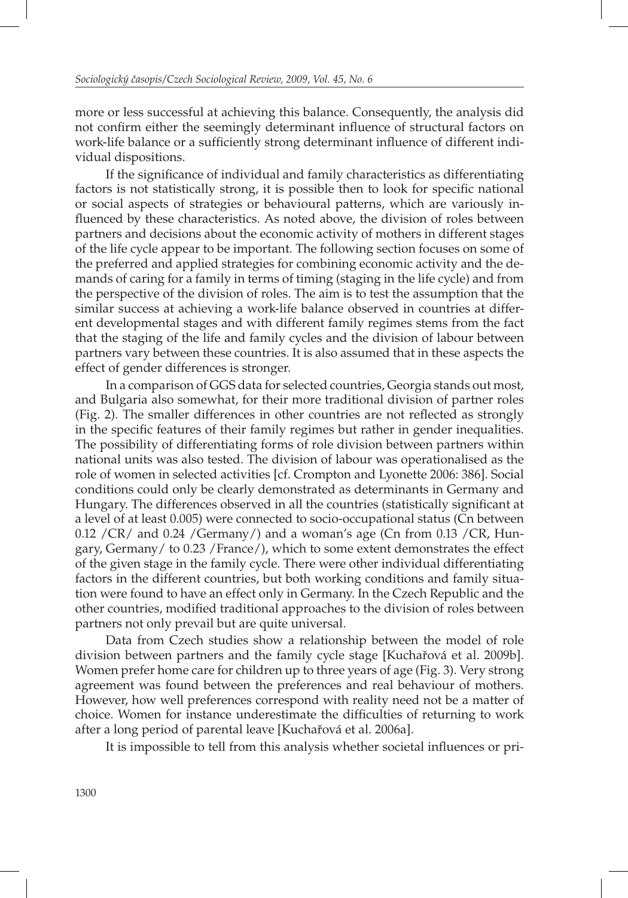more or less successful at achieving this balance. Consequently, the analysis did not confirm either the seemingly determinant influence of structural factors on work-life balance or a sufficiently strong determinant influence of different individual dispositions.

If the significance of individual and family characteristics as differentiating factors is not statistically strong, it is possible then to look for specific national or social aspects of strategies or behavioural patterns, which are variously influenced by these characteristics. As noted above, the division of roles between partners and decisions about the economic activity of mothers in different stages of the life cycle appear to be important. The following section focuses on some of the preferred and applied strategies for combining economic activity and the demands of caring for a family in terms of timing (staging in the life cycle) and from the perspective of the division of roles. The aim is to test the assumption that the similar success at achieving a work-life balance observed in countries at different developmental stages and with different family regimes stems from the fact that the staging of the life and family cycles and the division of labour between partners vary between these countries. It is also assumed that in these aspects the effect of gender differences is stronger.

In a comparison of GGS data for selected countries, Georgia stands out most, and Bulgaria also somewhat, for their more traditional division of partner roles (Fig. 2). The smaller differences in other countries are not reflected as strongly in the specific features of their family regimes but rather in gender inequalities. The possibility of differentiating forms of role division between partners within national units was also tested. The division of labour was operationalised as the role of women in selected activities [cf. Crompton and Lyonette 2006: 386]. Social conditions could only be clearly demonstrated as determinants in Germany and Hungary. The differences observed in all the countries (statistically significant at a level of at least 0.005) were connected to socio-occupational status (Cn between  $0.12$  /CR/ and  $0.24$  /Germany/) and a woman's age (Cn from  $0.13$  /CR, Hungary, Germany/ to 0.23 /France/), which to some extent demonstrates the effect of the given stage in the family cycle. There were other individual differentiating factors in the different countries, but both working conditions and family situation were found to have an effect only in Germany. In the Czech Republic and the other countries, modified traditional approaches to the division of roles between partners not only prevail but are quite universal.

Data from Czech studies show a relationship between the model of role division between partners and the family cycle stage [Kuchařová et al. 2009b]. Women prefer home care for children up to three years of age (Fig. 3). Very strong agreement was found between the preferences and real behaviour of mothers. However, how well preferences correspond with reality need not be a matter of choice. Women for instance underestimate the difficulties of returning to work after a long period of parental leave [Kuchařová et al. 2006a].

It is impossible to tell from this analysis whether societal influences or pri-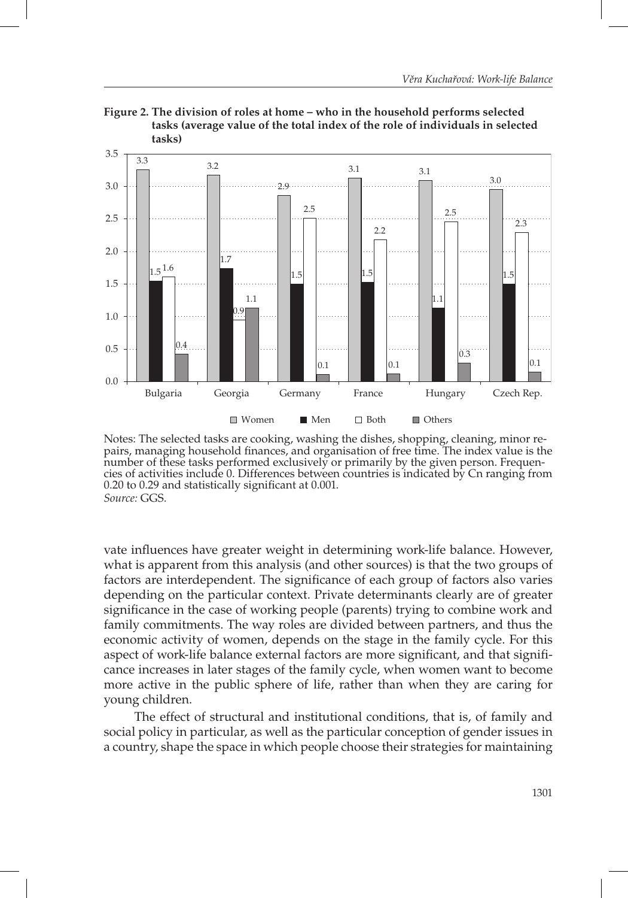



vate influences have greater weight in determining work-life balance. However, what is apparent from this analysis (and other sources) is that the two groups of factors are interdependent. The significance of each group of factors also varies depending on the particular context. Private determinants clearly are of greater significance in the case of working people (parents) trying to combine work and family commitments. The way roles are divided between partners, and thus the economic activity of women, depends on the stage in the family cycle. For this aspect of work-life balance external factors are more significant, and that significance increases in later stages of the family cycle, when women want to become more active in the public sphere of life, rather than when they are caring for young children.

The effect of structural and institutional conditions, that is, of family and social policy in particular, as well as the particular conception of gender issues in a country, shape the space in which people choose their strategies for maintaining

Notes: The selected tasks are cooking, washing the dishes, shopping, cleaning, minor repairs, managing household finances, and organisation of free time. The index value is the number of these tasks performed exclusively or primarily by the given person. Frequencies of activities include 0. Differences between countries is indicated by Cn ranging from  $0.20$  to  $0.29$  and statistically significant at  $0.001$ . *Source:* GGS.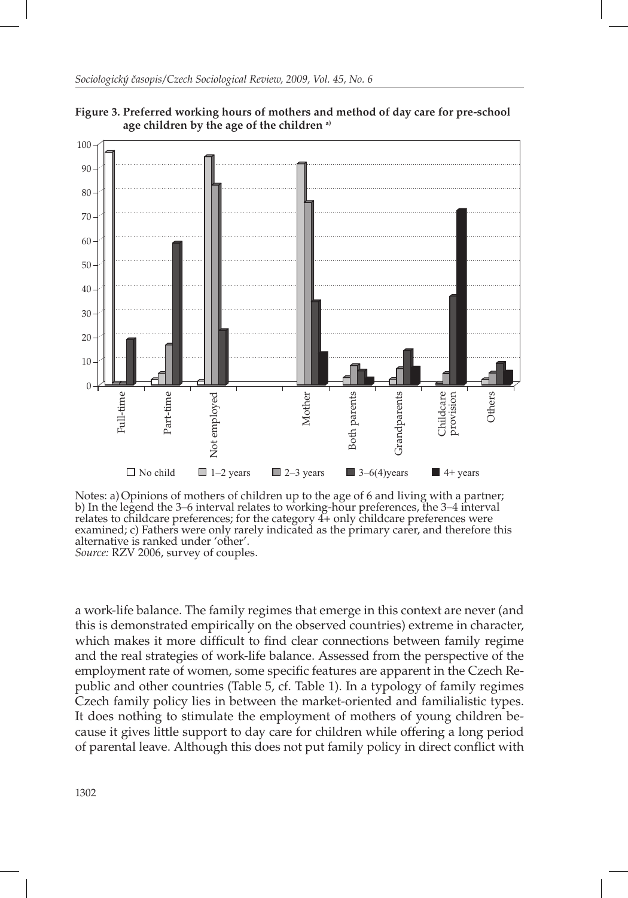

**Figure 3. Preferred working hours of mothers and method of day care for pre-school age children by the age of the children a)**

Notes: a)Opinions of mothers of children up to the age of 6 and living with a partner; b) In the legend the 3–6 interval relates to working-hour preferences, the 3–4 interval relates to childcare preferences; for the category  $4+$  only childcare preferences were examined; c) Fathers were only rarely indicated as the primary carer, and therefore this alternative is ranked under 'other'.

*Source:* RZV 2006, survey of couples.

a work-life balance. The family regimes that emerge in this context are never (and this is demonstrated empirically on the observed countries) extreme in character, which makes it more difficult to find clear connections between family regime and the real strategies of work-life balance. Assessed from the perspective of the employment rate of women, some specific features are apparent in the Czech Republic and other countries (Table 5, cf. Table 1). In a typology of family regimes Czech family policy lies in between the market-oriented and familialistic types. It does nothing to stimulate the employment of mothers of young children because it gives little support to day care for children while offering a long period of parental leave. Although this does not put family policy in direct conflict with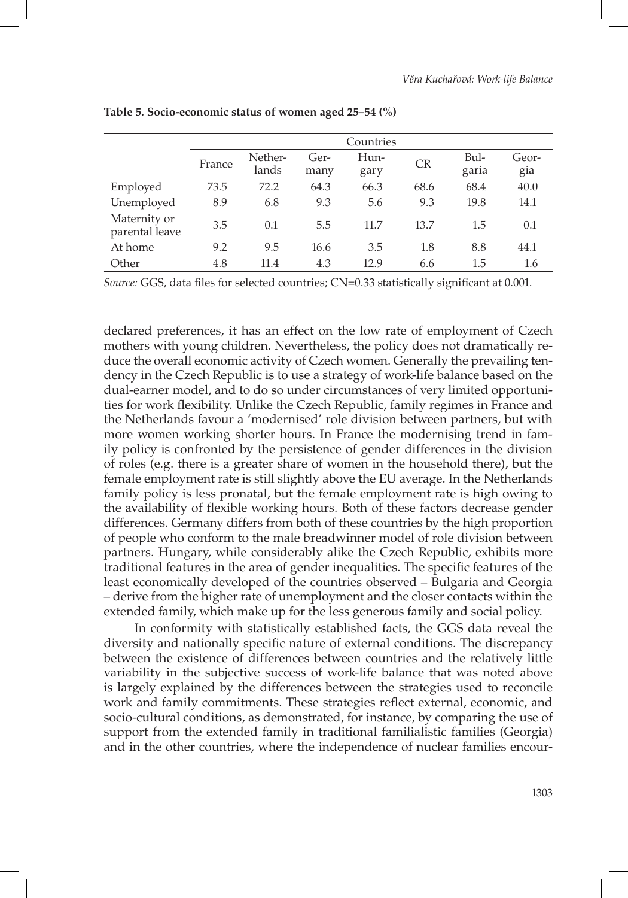|                                |        |                  |              | Countries    |           |               |              |
|--------------------------------|--------|------------------|--------------|--------------|-----------|---------------|--------------|
|                                | France | Nether-<br>lands | Ger-<br>many | Hun-<br>gary | <b>CR</b> | Bul-<br>garia | Geor-<br>gia |
| Employed                       | 73.5   | 72.2             | 64.3         | 66.3         | 68.6      | 68.4          | 40.0         |
| Unemployed                     | 8.9    | 6.8              | 9.3          | 5.6          | 9.3       | 19.8          | 14.1         |
| Maternity or<br>parental leave | 3.5    | 0.1              | 5.5          | 11.7         | 13.7      | 1.5           | 0.1          |
| At home                        | 9.2    | 9.5              | 16.6         | 3.5          | 1.8       | 8.8           | 44.1         |
| Other                          | 4.8    | 11.4             | 4.3          | 12.9         | 6.6       | 1.5           | 1.6          |

**Table 5. Socio-economic status of women aged 25–54 (%)** 

*Source: GGS, data files for selected countries; CN=0.33 statistically significant at 0.001.* 

declared preferences, it has an effect on the low rate of employment of Czech mothers with young children. Nevertheless, the policy does not dramatically reduce the overall economic activity of Czech women. Generally the prevailing tendency in the Czech Republic is to use a strategy of work-life balance based on the dual-earner model, and to do so under circumstances of very limited opportunities for work flexibility. Unlike the Czech Republic, family regimes in France and the Netherlands favour a 'modernised' role division between partners, but with more women working shorter hours. In France the modernising trend in family policy is confronted by the persistence of gender differences in the division of roles (e.g. there is a greater share of women in the household there), but the female employment rate is still slightly above the EU average. In the Netherlands family policy is less pronatal, but the female employment rate is high owing to the availability of flexible working hours. Both of these factors decrease gender differences. Germany differs from both of these countries by the high proportion of people who conform to the male breadwinner model of role division between partners. Hungary, while considerably alike the Czech Republic, exhibits more traditional features in the area of gender inequalities. The specific features of the least economically developed of the countries observed – Bulgaria and Georgia – derive from the higher rate of unemployment and the closer contacts within the extended family, which make up for the less generous family and social policy.

In conformity with statistically established facts, the GGS data reveal the diversity and nationally specific nature of external conditions. The discrepancy between the existence of differences between countries and the relatively little variability in the subjective success of work-life balance that was noted above is largely explained by the differences between the strategies used to reconcile work and family commitments. These strategies reflect external, economic, and socio-cultural conditions, as demonstrated, for instance, by comparing the use of support from the extended family in traditional familialistic families (Georgia) and in the other countries, where the independence of nuclear families encour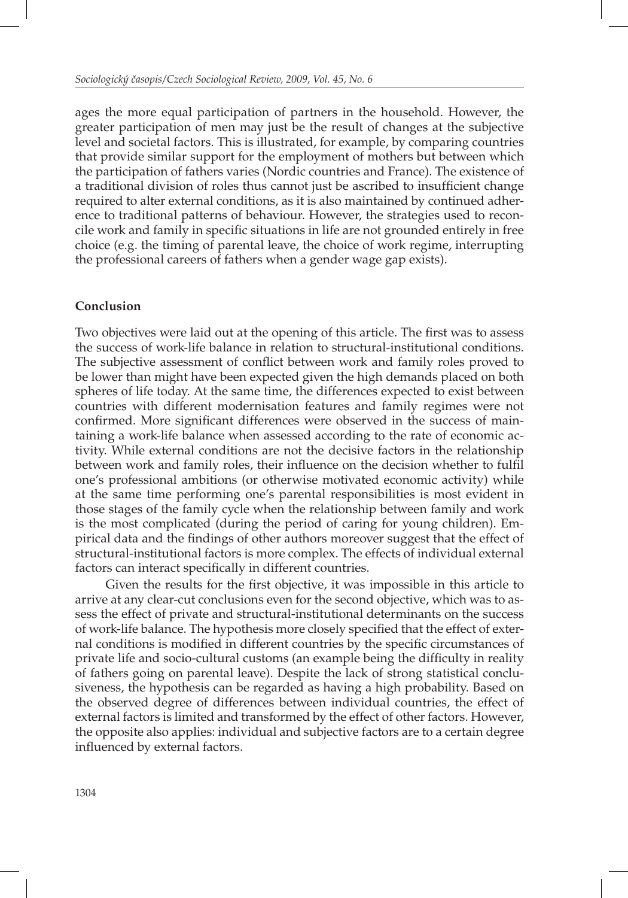ages the more equal participation of partners in the household. However, the greater participation of men may just be the result of changes at the subjective level and societal factors. This is illustrated, for example, by comparing countries that provide similar support for the employment of mothers but between which the participation of fathers varies (Nordic countries and France). The existence of a traditional division of roles thus cannot just be ascribed to insufficient change required to alter external conditions, as it is also maintained by continued adherence to traditional patterns of behaviour. However, the strategies used to reconcile work and family in specific situations in life are not grounded entirely in free choice (e.g. the timing of parental leave, the choice of work regime, interrupting the professional careers of fathers when a gender wage gap exists).

## **Conclusion**

Two objectives were laid out at the opening of this article. The first was to assess the success of work-life balance in relation to structural-institutional conditions. The subjective assessment of conflict between work and family roles proved to be lower than might have been expected given the high demands placed on both spheres of life today. At the same time, the differences expected to exist between countries with different modernisation features and family regimes were not confirmed. More significant differences were observed in the success of maintaining a work-life balance when assessed according to the rate of economic activity. While external conditions are not the decisive factors in the relationship between work and family roles, their influence on the decision whether to fulfil one's professional ambitions (or otherwise motivated economic activity) while at the same time performing one's parental responsibilities is most evident in those stages of the family cycle when the relationship between family and work is the most complicated (during the period of caring for young children). Empirical data and the findings of other authors moreover suggest that the effect of structural-institutional factors is more complex. The effects of individual external factors can interact specifically in different countries.

Given the results for the first objective, it was impossible in this article to arrive at any clear-cut conclusions even for the second objective, which was to assess the effect of private and structural-institutional determinants on the success of work-life balance. The hypothesis more closely specified that the effect of external conditions is modified in different countries by the specific circumstances of private life and socio-cultural customs (an example being the difficulty in reality of fathers going on parental leave). Despite the lack of strong statistical conclusiveness, the hypothesis can be regarded as having a high probability. Based on the observed degree of differences between individual countries, the effect of external factors is limited and transformed by the effect of other factors. However, the opposite also applies: individual and subjective factors are to a certain degree influenced by external factors.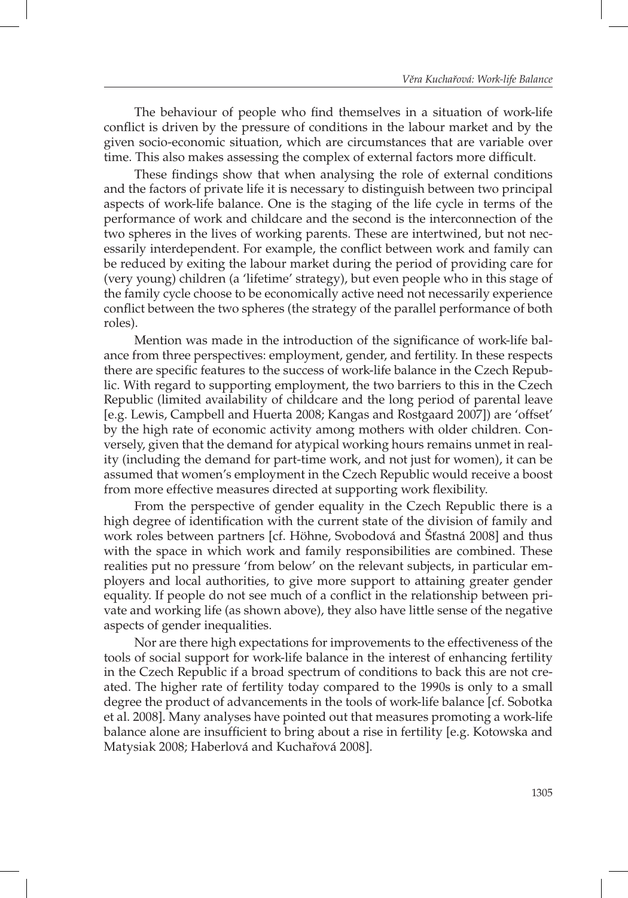The behaviour of people who find themselves in a situation of work-life conflict is driven by the pressure of conditions in the labour market and by the given socio-economic situation, which are circumstances that are variable over time. This also makes assessing the complex of external factors more difficult.

These findings show that when analysing the role of external conditions and the factors of private life it is necessary to distinguish between two principal aspects of work-life balance. One is the staging of the life cycle in terms of the performance of work and childcare and the second is the interconnection of the two spheres in the lives of working parents. These are intertwined, but not necessarily interdependent. For example, the conflict between work and family can be reduced by exiting the labour market during the period of providing care for (very young) children (a 'lifetime' strategy), but even people who in this stage of the family cycle choose to be economically active need not necessarily experience conflict between the two spheres (the strategy of the parallel performance of both roles).

Mention was made in the introduction of the significance of work-life balance from three perspectives: employment, gender, and fertility. In these respects there are specific features to the success of work-life balance in the Czech Republic. With regard to supporting employment, the two barriers to this in the Czech Republic (limited availability of childcare and the long period of parental leave [e.g. Lewis, Campbell and Huerta 2008; Kangas and Rostgaard 2007]) are 'offset' by the high rate of economic activity among mothers with older children. Conversely, given that the demand for atypical working hours remains unmet in reality (including the demand for part-time work, and not just for women), it can be assumed that women's employment in the Czech Republic would receive a boost from more effective measures directed at supporting work flexibility.

From the perspective of gender equality in the Czech Republic there is a high degree of identification with the current state of the division of family and work roles between partners [cf. Höhne, Svobodová and Šťastná 2008] and thus with the space in which work and family responsibilities are combined. These realities put no pressure 'from below' on the relevant subjects, in particular employers and local authorities, to give more support to attaining greater gender equality. If people do not see much of a conflict in the relationship between private and working life (as shown above), they also have little sense of the negative aspects of gender inequalities.

Nor are there high expectations for improvements to the effectiveness of the tools of social support for work-life balance in the interest of enhancing fertility in the Czech Republic if a broad spectrum of conditions to back this are not created. The higher rate of fertility today compared to the 1990s is only to a small degree the product of advancements in the tools of work-life balance [cf. Sobotka et al. 2008]. Many analyses have pointed out that measures promoting a work-life balance alone are insufficient to bring about a rise in fertility [e.g. Kotowska and Matysiak 2008; Haberlová and Kuchařová 2008].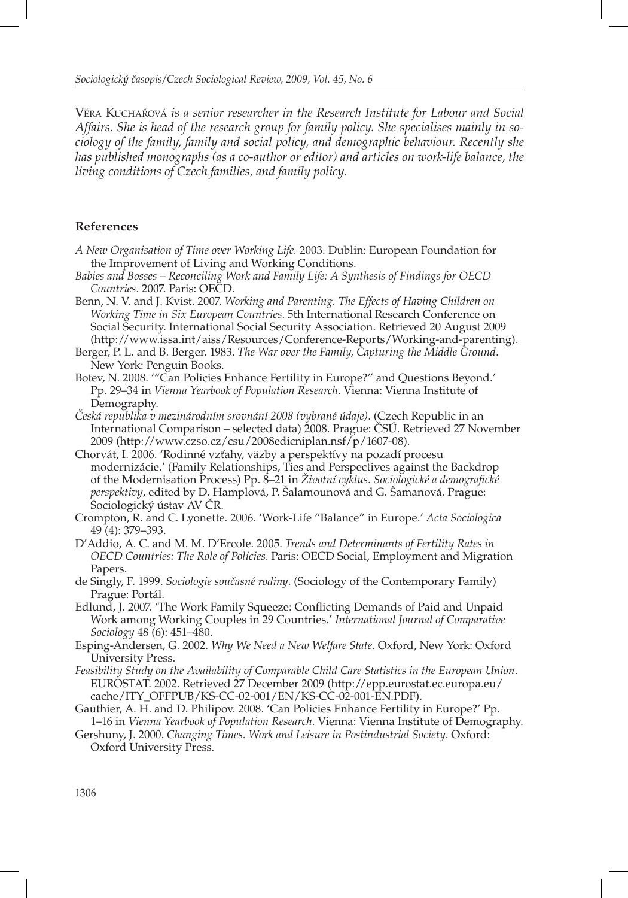VĚRA KUCHAŘOVÁ *is a senior researcher in the Research Institute for Labour and Social Affairs. She is head of the research group for family policy. She specialises mainly in sociology of the family, family and social policy, and demographic behaviour. Recently she*  has published monographs (as a co-author or editor) and articles on work-life balance, the *living conditions of Czech families, and family policy.*

### **References**

- *A New Organisation of Time over Working Life.* 2003. Dublin: European Foundation for the Improvement of Living and Working Conditions.
- *Babies and Bosses Reconciling Work and Family Life: A Synthesis of Findings for OECD Countries*. 2007. Paris: OECD.
- Benn, N. V. and J. Kvist. 2007. *Working and Parenting. The Effects of Having Children on Working Time in Six European Countries*. 5th International Research Conference on Social Security. International Social Security Association. Retrieved 20 August 2009 (http://www.issa.int/aiss/Resources/Conference-Reports/Working-and-parenting).
- Berger, P. L. and B. Berger. 1983. *The War over the Family, Capturing the Middle Ground*. New York: Penguin Books.
- Botev, N. 2008. '"Can Policies Enhance Fertility in Europe?" and Questions Beyond.' Pp. 29–34 in *Vienna Yearbook of Population Research*. Vienna: Vienna Institute of Demography.
- *Česká republika v mezinárodním srovnání 2008 (vybrané údaje)*. (Czech Republic in an International Comparison – selected data) 2008. Prague: ČSÚ. Retrieved 27 November 2009 (http://www.czso.cz/csu/2008edicniplan.nsf/p/1607-08).
- Chorvát, I. 2006. 'Rodinné vzťahy, väzby a perspektívy na pozadí procesu modernizácie.' (Family Relationships, Ties and Perspectives against the Backdrop of the Modernisation Process) Pp. 8–21 in *Životní cyklus. Sociologické a demografi cké perspektivy*, edited by D. Hamplová, P. Šalamounová and G. Šamanová. Prague: Sociologický ústav AV ČR.
- Crompton, R. and C. Lyonette. 2006. 'Work-Life "Balance" in Europe.' *Acta Sociologica* 49 (4): 379–393.
- D'Addio, A. C. and M. M. D'Ercole. 2005. *Trends and Determinants of Fertility Rates in OECD Countries: The Role of Policies*. Paris: OECD Social, Employment and Migration Papers.
- de Singly, F. 1999. *Sociologie současné rodiny*. (Sociology of the Contemporary Family) Prague: Portál.
- Edlund, J. 2007. 'The Work Family Squeeze: Conflicting Demands of Paid and Unpaid Work among Working Couples in 29 Countries.' *International Journal of Comparative Sociology* 48 (6): 451–480.
- Esping-Andersen, G. 2002. *Why We Need a New Welfare State*. Oxford, New York: Oxford University Press.
- *Feasibility Study on the Availability of Comparable Child Care Statistics in the European Union*. EUROSTAT. 2002. Retrieved 27 December 2009 (http://epp.eurostat.ec.europa.eu/ cache/ITY\_OFFPUB/KS-CC-02-001/EN/KS-CC-02-001-EN.PDF).
- Gauthier, A. H. and D. Philipov. 2008. 'Can Policies Enhance Fertility in Europe?' Pp. 1–16 in *Vienna Yearbook of Population Research*. Vienna: Vienna Institute of Demography.
- Gershuny, J. 2000. *Changing Times. Work and Leisure in Postindustrial Society*. Oxford: Oxford University Press.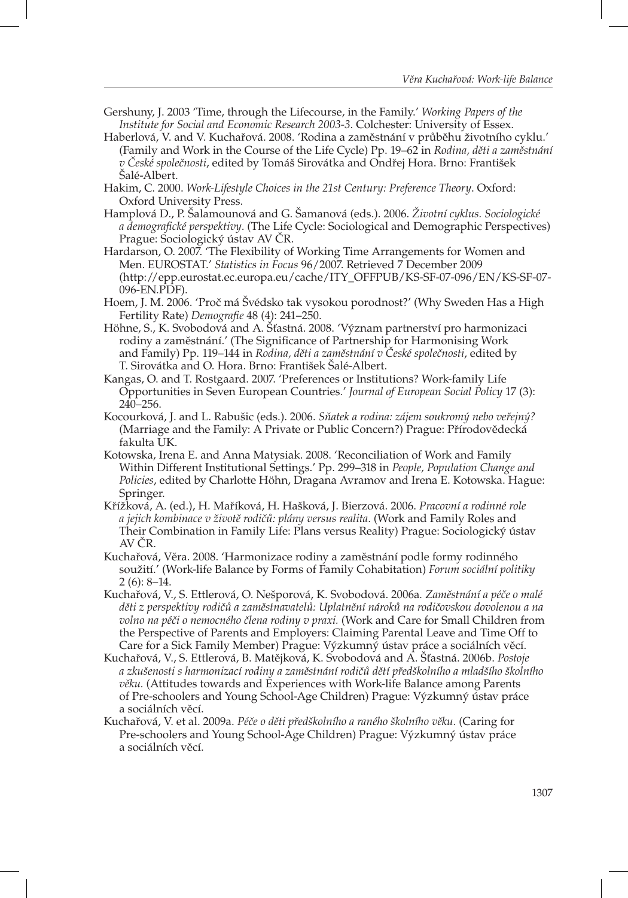- Gershuny, J. 2003 'Time, through the Lifecourse, in the Family.' *Working Papers of the Institute for Social and Economic Research 2003-3*. Colchester: University of Essex.
- Haberlová, V. and V. Kuchařová. 2008. 'Rodina a zaměstnání v průběhu životního cyklu.' (Family and Work in the Course of the Life Cycle) Pp. 19–62 in *Rodina, děti a zaměstnání v České společnosti*, edited by Tomáš Sirovátka and Ondřej Hora. Brno: František Salé-Albert.
- Hakim, C. 2000. *Work-Lifestyle Choices in the 21st Century: Preference Theory*. Oxford: Oxford University Press.
- Hamplová D., P. Šalamounová and G. Šamanová (eds.). 2006. *Životní cyklus. Sociologické a demografi cké perspektivy*. (The Life Cycle: Sociological and Demographic Perspectives) Prague: Sociologický ústav AV ČR.
- Hardarson, O. 2007. 'The Flexibility of Working Time Arrangements for Women and Men. EUROSTAT.' *Statistics in Focus* 96/2007. Retrieved 7 December 2009 (http://epp.eurostat.ec.europa.eu/cache/ITY\_OFFPUB/KS-SF-07-096/EN/KS-SF-07- 096-EN.PDF).
- Hoem, J. M. 2006. 'Proč má Švédsko tak vysokou porodnost?' (Why Sweden Has a High Fertility Rate) *Demografie* 48 (4): 241-250.
- Höhne, S., K. Svobodová and A. Šťastná. 2008. 'Význam partnerství pro harmonizaci rodiny a zaměstnání.' (The Significance of Partnership for Harmonising Work and Family) Pp. 119–144 in *Rodina, děti a zaměstnání v České společnosti*, edited by T. Sirovátka and O. Hora. Brno: František Šalé-Albert.
- Kangas, O. and T. Rostgaard. 2007. 'Preferences or Institutions? Work-family Life Opportunities in Seven European Countries*.*' *Journal of European Social Policy* 17 (3):  $240 - 256$ .
- Kocourková, J. and L. Rabušic (eds.). 2006. *Sňatek a rodina: zájem soukromý nebo veřejný?* (Marriage and the Family: A Private or Public Concern?) Prague: Přírodovědecká fakulta UK.
- Kotowska, Irena E. and Anna Matysiak. 2008. 'Reconciliation of Work and Family Within Different Institutional Settings.' Pp. 299–318 in *People, Population Change and Policies*, edited by Charlotte Höhn, Dragana Avramov and Irena E. Kotowska. Hague: Springer.
- Křížková, A. (ed.), H. Maříková, H. Hašková, J. Bierzová. 2006. *Pracovní a rodinné role a jejich kombinace v životě rodičů: plány versus realita*. (Work and Family Roles and Their Combination in Family Life: Plans versus Reality) Prague: Sociologický ústav AV ČR.
- Kuchařová, Věra. 2008. 'Harmonizace rodiny a zaměstnání podle formy rodinného soužití.' (Work-life Balance by Forms of Family Cohabitation) *Forum sociální politiky* 2 (6): 8–14.
- Kuchařová, V., S. Ettlerová, O. Nešporová, K. Svobodová. 2006a*. Zaměstnání a péče o malé děti z perspektivy rodičů a zaměstnavatelů: Uplatnění nároků na rodičovskou dovolenou a na volno na péči o nemocného člena rodiny v praxi.* (Work and Care for Small Children from the Perspective of Parents and Employers: Claiming Parental Leave and Time Off to Care for a Sick Family Member) Prague: Výzkumný ústav práce a sociálních věcí.
- Kuchařová, V., S. Ettlerová, B. Matějková, K. Svobodová and A. Šťastná. 2006b. *Postoje a zkušenosti s harmonizací rodiny a zaměstnání rodičů dětí předškolního a mladšího školního věku.* (Attitudes towards and Experiences with Work-life Balance among Parents of Pre-schoolers and Young School-Age Children) Prague: Výzkumný ústav práce a sociálních věcí.
- Kuchařová, V. et al. 2009a. *Péče o děti předškolního a raného školního věku.* (Caring for Pre-schoolers and Young School-Age Children) Prague: Výzkumný ústav práce a sociálních věcí.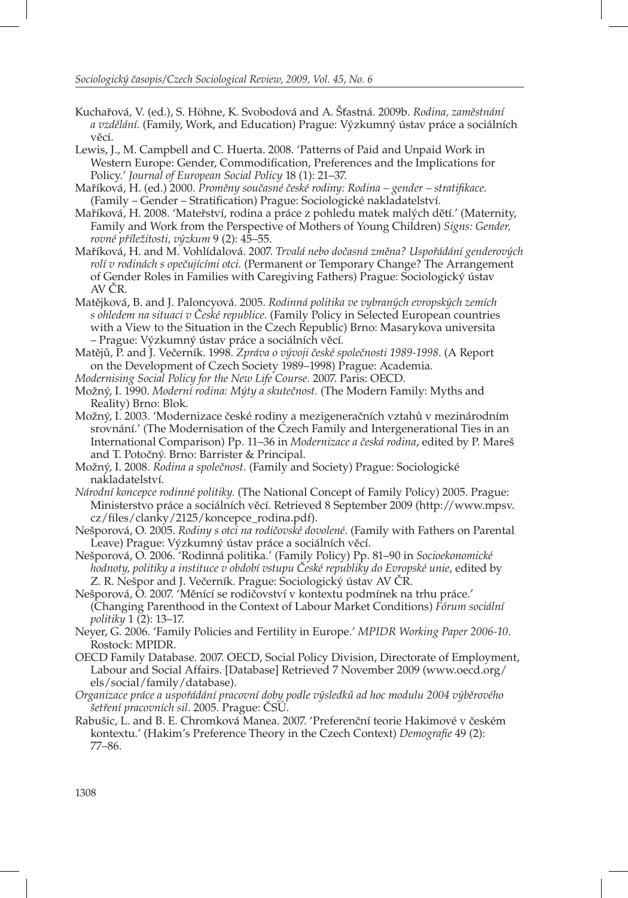- Kuchařová, V. (ed.), S. Höhne, K. Svobodová and A. Šťastná. 2009b. *Rodina, zaměstnání a vzdělání.* (Family, Work, and Education) Prague: Výzkumný ústav práce a sociálních věcí.
- Lewis, J., M. Campbell and C. Huerta. 2008. 'Patterns of Paid and Unpaid Work in Western Europe: Gender, Commodification, Preferences and the Implications for Policy.' *Journal of European Social Policy* 18 (1): 21–37.
- Maříková, H. (ed.) 2000. *Proměny současné české rodiny: Rodina gender stratifi kace.* (Family – Gender – Stratification) Prague: Sociologické nakladatelství.
- Maříková, H. 2008. 'Mateřství, rodina a práce z pohledu matek malých dětí.' (Maternity, Family and Work from the Perspective of Mothers of Young Children) *Signs: Gender, rovné příležitosti, výzkum* 9 (2): 45–55.
- Maříková, H. and M. Vohlídalová. 2007. *Trvalá nebo dočasná změna? Uspořádání genderových rolí v rodinách s opečujícími otci.* (Permanent or Temporary Change? The Arrangement of Gender Roles in Families with Caregiving Fathers) Prague: Sociologický ústav AV ČR.
- Matějková, B. and J. Paloncyová. 2005. *Rodinná politika ve vybraných evropských zemích s ohledem na situaci v České republice*. (Family Policy in Selected European countries with a View to the Situation in the Czech Republic) Brno: Masarykova universita – Prague: Výzkumný ústav práce a sociálních věcí.
- Matějů, P. and J. Večerník. 1998. *Zpráva o vývoji české společnosti 1989-1998*. (A Report on the Development of Czech Society 1989–1998) Prague: Academia*.*
- *Modernising Social Policy for the New Life Course*. 2007. Paris: OECD.
- Možný, I. 1990. *Moderní rodina: Mýty a skutečnost.* (The Modern Family: Myths and Reality) Brno: Blok.
- Možný, I. 2003. 'Modernizace české rodiny a mezigeneračních vztahů v mezinárodním srovnání.' (The Modernisation of the Czech Family and Intergenerational Ties in an International Comparison) Pp. 11–36 in *Modernizace a česká rodina*, edited by P. Mareš and T. Potočný. Brno: Barrister & Principal.
- Možný, I. 2008. *Rodina a společnost*. (Family and Society) Prague: Sociologické nakladatelství.
- *Národní koncepce rodinné politiky.* (The National Concept of Family Policy) 2005. Prague: Ministerstvo práce a sociálních věcí. Retrieved 8 September 2009 (http://www.mpsv. cz/files/clanky/2125/koncepce\_rodina.pdf).
- Nešporová, O. 2005. *Rodiny s otci na rodičovské dovolené*. (Family with Fathers on Parental Leave) Prague: Výzkumný ústav práce a sociálních věcí.
- Nešporová, O. 2006. 'Rodinná politika.' (Family Policy) Pp. 81–90 in *Socioekonomické hodnoty, politiky a instituce v období vstupu České republiky do Evropské unie*, edited by Z. R. Nešpor and J. Večerník. Prague: Sociologický ústav AV ČR.
- Nešporová, O. 2007. 'Měnící se rodičovství v kontextu podmínek na trhu práce.' (Changing Parenthood in the Context of Labour Market Conditions) *Fórum sociální politiky* 1 (2): 13–17.
- Neyer, G. 2006. 'Family Policies and Fertility in Europe.' *MPIDR Working Paper 2006-10*. Rostock: MPIDR.
- OECD Family Database. 2007. OECD, Social Policy Division, Directorate of Employment, Labour and Social Affairs. [Database] Retrieved 7 November 2009 (www.oecd.org/ els/social/family/database).
- *Organizace práce a uspořádání pracovní doby podle výsledků ad hoc modulu 2004 výběrového šetření pracovních sil*. 2005. Prague: ČSÚ.
- Rabušic, L. and B. E. Chromková Manea. 2007. 'Preferenční teorie Hakimové v českém kontextu.' (Hakim's Preference Theory in the Czech Context) *Demografie* 49 (2): 77–86.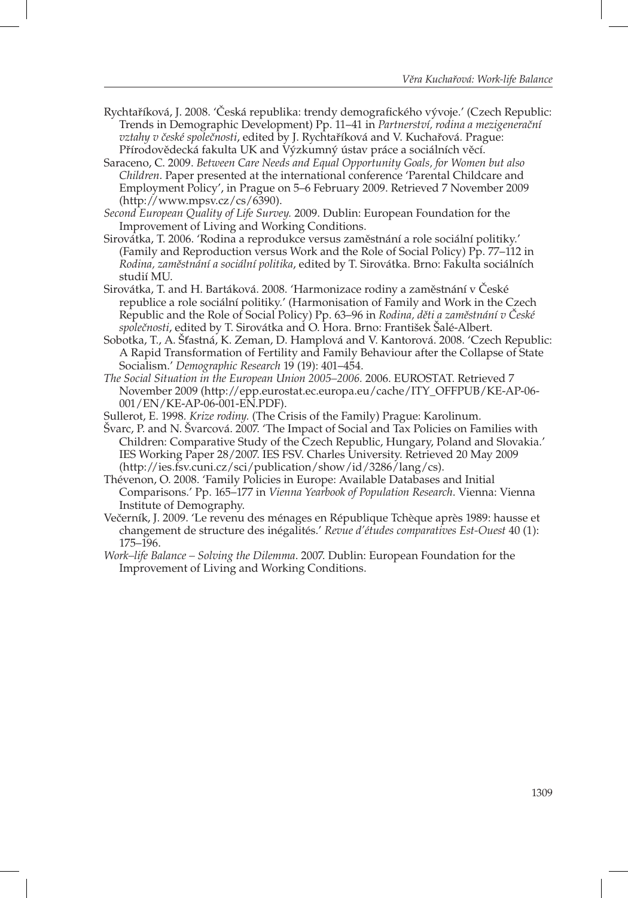- Rychtaříková, J. 2008. 'Česká republika: trendy demografického vývoje.' (Czech Republic: Trends in Demographic Development) Pp. 11–41 in *Partnerství, rodina a mezigenerační vztahy v české společnosti*, edited by J. Rychtaříková and V. Kuchařová*.* Prague: Přírodovědecká fakulta UK and Výzkumný ústav práce a sociálních věcí.
- Saraceno, C. 2009. *Between Care Needs and Equal Opportunity Goals, for Women but also Children*. Paper presented at the international conference 'Parental Childcare and Employment Policy', in Prague on 5–6 February 2009. Retrieved 7 November 2009  $(\text{http://www.mpsv.cz/cs/6390}).$
- *Second European Quality of Life Survey.* 2009. Dublin: European Foundation for the Improvement of Living and Working Conditions.
- Sirovátka, T. 2006. 'Rodina a reprodukce versus zaměstnání a role sociální politiky.' (Family and Reproduction versus Work and the Role of Social Policy) Pp. 77–112 in *Rodina, zaměstnání a sociální politika*, edited by T. Sirovátka. Brno: Fakulta sociálních studií MU.
- Sirovátka, T. and H. Bartáková. 2008. 'Harmonizace rodiny a zaměstnání v České republice a role sociální politiky.' (Harmonisation of Family and Work in the Czech Republic and the Role of Social Policy) Pp. 63–96 in *Rodina, děti a zaměstnání v České společnosti*, edited by T. Sirovátka and O. Hora. Brno: František Šalé-Albert.
- Sobotka, T., A. Šťastná, K. Zeman, D. Hamplová and V. Kantorová. 2008. 'Czech Republic: A Rapid Transformation of Fertility and Family Behaviour after the Collapse of State Socialism.' *Demographic Research* 19 (19): 401–454.
- *The Social Situation in the European Union 2005–2006.* 2006. EUROSTAT. Retrieved 7 November 2009 (http://epp.eurostat.ec.europa.eu/cache/ITY\_OFFPUB/KE-AP-06- 001/EN/KE-AP-06-001-EN.PDF).
- Sullerot, E. 1998. *Krize rodiny.* (The Crisis of the Family) Prague: Karolinum.
- Švarc, P. and N. Švarcová. 2007. 'The Impact of Social and Tax Policies on Families with Children: Comparative Study of the Czech Republic, Hungary, Poland and Slovakia.' IES Working Paper 28/2007. IES FSV. Charles University. Retrieved 20 May 2009 (http://ies.fsv.cuni.cz/sci/publication/show/id/3286/lang/cs).
- Thévenon, O. 2008. 'Family Policies in Europe: Available Databases and Initial Comparisons.' Pp. 165–177 in *Vienna Yearbook of Population Research*. Vienna: Vienna Institute of Demography.
- Večerník, J. 2009. 'Le revenu des ménages en République Tchèque après 1989: hausse et changement de structure des inégalités.' *Revue d'études comparatives Est-Ouest* 40 (1): 175–196.
- *Work–life Balance Solving the Dilemma*. 2007. Dublin: European Foundation for the Improvement of Living and Working Conditions.